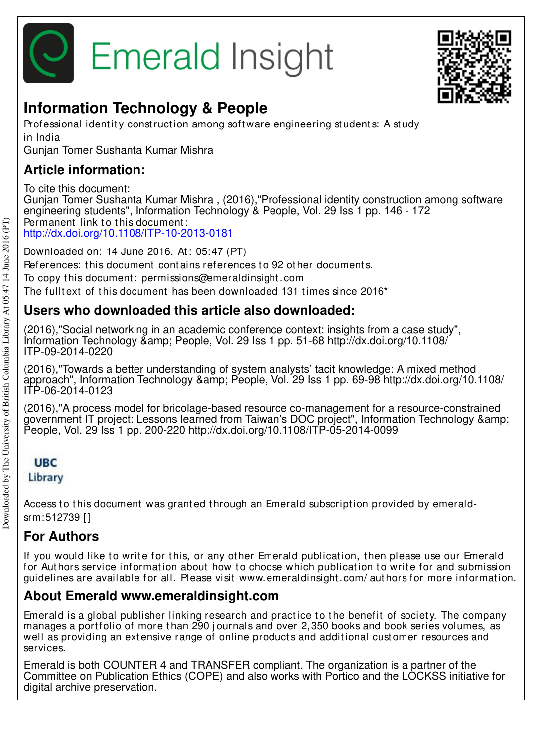



# **Information Technology & People**

Professional identity construction among software engineering students: A study in India

Gunjan Tomer Sushanta Kumar Mishra

### **Article information:**

To cite this document:

Gunjan Tomer Sushanta Kumar Mishra , (2016),"Professional identity construction among software engineering students", Information Technology & People, Vol. 29 Iss 1 pp. 146 - 172 Permanent link to this document: http://dx.doi.org/10.1108/ITP-10-2013-0181

Downloaded on: 14 June 2016, At: 05:47 (PT)

References: this document contains references to 92 other documents.

To copy t his document : permissions@emeraldinsight .com

The fulltext of this document has been downloaded 131 times since  $2016<sup>*</sup>$ 

### **Users who downloaded this article also downloaded:**

(2016),"Social networking in an academic conference context: insights from a case study", Information Technology & People, Vol. 29 Iss 1 pp. 51-68 http://dx.doi.org/10.1108/ ITP-09-2014-0220

(2016),"Towards a better understanding of system analysts' tacit knowledge: A mixed method approach", Information Technology & amp: People, Vol. 29 Iss 1 pp. 69-98 http://dx.doi.org/10.1108/ ITP-06-2014-0123

(2016),"A process model for bricolage-based resource co-management for a resource-constrained government IT project: Lessons learned from Taiwan's DOC project", Information Technology & amp; People, Vol. 29 Iss 1 pp. 200-220 http://dx.doi.org/10.1108/ITP-05-2014-0099

# **UBC**

### Library

Access to this document was granted through an Emerald subscription provided by emeraldsrm:512739 []

# **For Authors**

If you would like to write for this, or any other Emerald publication, then please use our Emerald for Authors service information about how to choose which publication to write for and submission guidelines are available for all. Please visit www.emeraldinsight .com/ aut hors for more informat ion.

# **About Emerald www.emeraldinsight.com**

Emerald is a global publisher linking research and practice to the benefit of society. The company manages a portfolio of more than 290 journals and over 2,350 books and book series volumes, as well as providing an extensive range of online products and additional customer resources and services.

Emerald is both COUNTER 4 and TRANSFER compliant. The organization is a partner of the Committee on Publication Ethics (COPE) and also works with Portico and the LOCKSS initiative for digital archive preservation.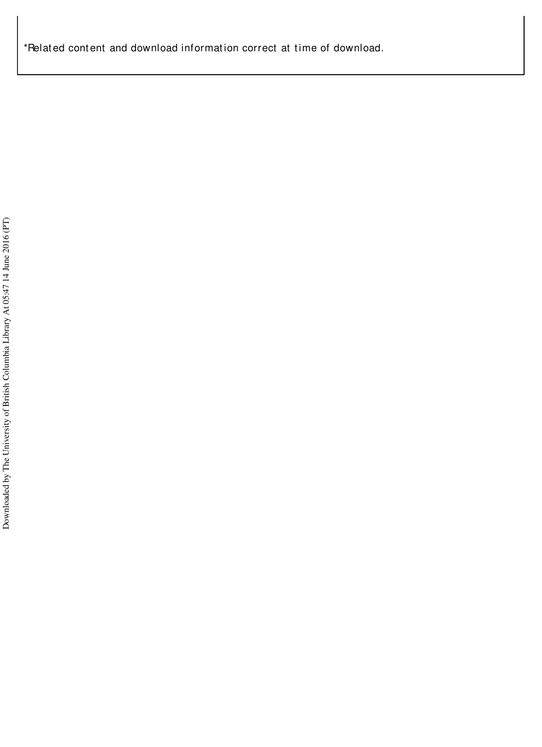\*Related content and download information correct at time of download.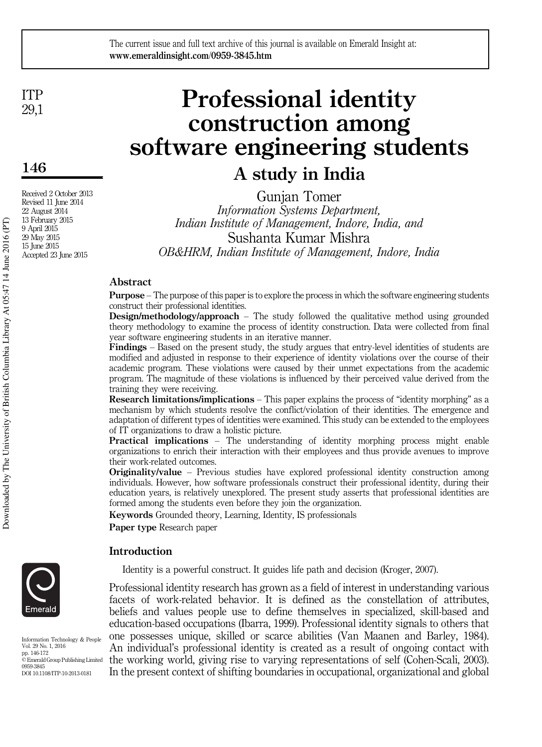#### The current issue and full text archive of this journal is available on Emerald Insight at: www.emeraldinsight.com/0959-3845.htm

ITP 29,1

### 146

Received 2 October 2013 Revised 11 June 2014 22 August 2014 13 February 2015 9 April 2015 29 May 2015 15 June 2015 Accepted 23 June 2015

# Professional identity construction among software engineering students A study in India

Gunjan Tomer *Information Systems Department, Indian Institute of Management, Indore, India, and* Sushanta Kumar Mishra *OB&HRM, Indian Institute of Management, Indore, India*

### Abstract

Purpose – The purpose of this paper is to explore the process in which the software engineering students construct their professional identities.

**Design/methodology/approach** – The study followed the qualitative method using grounded theory methodology to examine the process of identity construction. Data were collected from final year software engineering students in an iterative manner.

Findings – Based on the present study, the study argues that entry-level identities of students are modified and adjusted in response to their experience of identity violations over the course of their academic program. These violations were caused by their unmet expectations from the academic program. The magnitude of these violations is influenced by their perceived value derived from the training they were receiving.

Research limitations/implications – This paper explains the process of "identity morphing" as a mechanism by which students resolve the conflict/violation of their identities. The emergence and adaptation of different types of identities were examined. This study can be extended to the employees of IT organizations to draw a holistic picture.

Practical implications – The understanding of identity morphing process might enable organizations to enrich their interaction with their employees and thus provide avenues to improve their work-related outcomes.

Originality/value – Previous studies have explored professional identity construction among individuals. However, how software professionals construct their professional identity, during their education years, is relatively unexplored. The present study asserts that professional identities are formed among the students even before they join the organization.

Keywords Grounded theory, Learning, Identity, IS professionals

Paper type Research paper

### Introduction

Information Technology & People Vol. 29 No. 1, 2016 pp. 146-172 © Emerald Group Publishing Limited 0959-3845 DOI 10.1108/ITP-10-2013-0181

Identity is a powerful construct. It guides life path and decision (Kroger, 2007).

Professional identity research has grown as a field of interest in understanding various facets of work-related behavior. It is defined as the constellation of attributes, beliefs and values people use to define themselves in specialized, skill-based and education-based occupations (Ibarra, 1999). Professional identity signals to others that one possesses unique, skilled or scarce abilities (Van Maanen and Barley, 1984). An individual's professional identity is created as a result of ongoing contact with the working world, giving rise to varying representations of self (Cohen-Scali, 2003). In the present context of shifting boundaries in occupational, organizational and global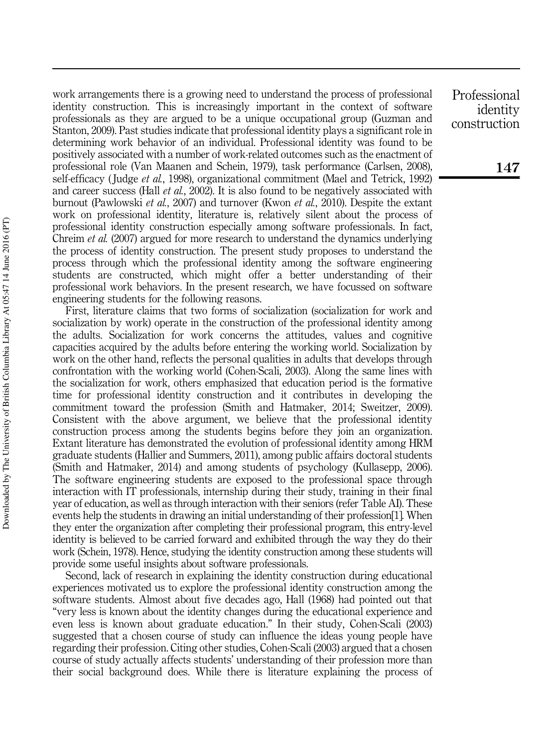work arrangements there is a growing need to understand the process of professional identity construction. This is increasingly important in the context of software professionals as they are argued to be a unique occupational group (Guzman and Stanton, 2009). Past studies indicate that professional identity plays a significant role in determining work behavior of an individual. Professional identity was found to be positively associated with a number of work-related outcomes such as the enactment of professional role (Van Maanen and Schein, 1979), task performance (Carlsen, 2008), self-efficacy ( Judge *et al.*, 1998), organizational commitment (Mael and Tetrick, 1992) and career success (Hall *et al.*, 2002). It is also found to be negatively associated with burnout (Pawlowski *et al.*, 2007) and turnover (Kwon *et al.*, 2010). Despite the extant work on professional identity, literature is, relatively silent about the process of professional identity construction especially among software professionals. In fact, Chreim *et al.* (2007) argued for more research to understand the dynamics underlying the process of identity construction. The present study proposes to understand the process through which the professional identity among the software engineering students are constructed, which might offer a better understanding of their professional work behaviors. In the present research, we have focussed on software engineering students for the following reasons.

First, literature claims that two forms of socialization (socialization for work and socialization by work) operate in the construction of the professional identity among the adults. Socialization for work concerns the attitudes, values and cognitive capacities acquired by the adults before entering the working world. Socialization by work on the other hand, reflects the personal qualities in adults that develops through confrontation with the working world (Cohen-Scali, 2003). Along the same lines with the socialization for work, others emphasized that education period is the formative time for professional identity construction and it contributes in developing the commitment toward the profession (Smith and Hatmaker, 2014; Sweitzer, 2009). Consistent with the above argument, we believe that the professional identity construction process among the students begins before they join an organization. Extant literature has demonstrated the evolution of professional identity among HRM graduate students (Hallier and Summers, 2011), among public affairs doctoral students (Smith and Hatmaker, 2014) and among students of psychology (Kullasepp, 2006). The software engineering students are exposed to the professional space through interaction with IT professionals, internship during their study, training in their final year of education, as well as through interaction with their seniors (refer Table AI). These events help the students in drawing an initial understanding of their profession[1]. When they enter the organization after completing their professional program, this entry-level identity is believed to be carried forward and exhibited through the way they do their work (Schein, 1978). Hence, studying the identity construction among these students will provide some useful insights about software professionals.

Second, lack of research in explaining the identity construction during educational experiences motivated us to explore the professional identity construction among the software students. Almost about five decades ago, Hall (1968) had pointed out that "very less is known about the identity changes during the educational experience and even less is known about graduate education." In their study, Cohen-Scali (2003) suggested that a chosen course of study can influence the ideas young people have regarding their profession. Citing other studies, Cohen-Scali (2003) argued that a chosen course of study actually affects students' understanding of their profession more than their social background does. While there is literature explaining the process of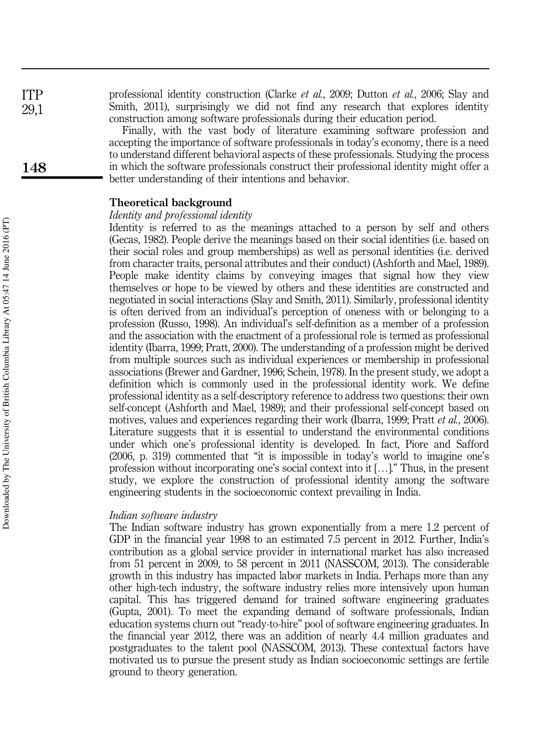professional identity construction (Clarke *et al.*, 2009; Dutton *et al.*, 2006; Slay and Smith, 2011), surprisingly we did not find any research that explores identity construction among software professionals during their education period.

Finally, with the vast body of literature examining software profession and accepting the importance of software professionals in today's economy, there is a need to understand different behavioral aspects of these professionals. Studying the process in which the software professionals construct their professional identity might offer a better understanding of their intentions and behavior.

#### Theoretical background

#### *Identity and professional identity*

Identity is referred to as the meanings attached to a person by self and others (Gecas, 1982). People derive the meanings based on their social identities (i.e. based on their social roles and group memberships) as well as personal identities (i.e. derived from character traits, personal attributes and their conduct) (Ashforth and Mael, 1989). People make identity claims by conveying images that signal how they view themselves or hope to be viewed by others and these identities are constructed and negotiated in social interactions (Slay and Smith, 2011). Similarly, professional identity is often derived from an individual's perception of oneness with or belonging to a profession (Russo, 1998). An individual's self-definition as a member of a profession and the association with the enactment of a professional role is termed as professional identity (Ibarra, 1999; Pratt, 2000). The understanding of a profession might be derived from multiple sources such as individual experiences or membership in professional associations (Brewer and Gardner, 1996; Schein, 1978). In the present study, we adopt a definition which is commonly used in the professional identity work. We define professional identity as a self-descriptory reference to address two questions: their own self-concept (Ashforth and Mael, 1989); and their professional self-concept based on motives, values and experiences regarding their work (Ibarra, 1999; Pratt *et al.*, 2006). Literature suggests that it is essential to understand the environmental conditions under which one's professional identity is developed. In fact, Piore and Safford (2006, p. 319) commented that "it is impossible in today's world to imagine one's profession without incorporating one's social context into it […]." Thus, in the present study, we explore the construction of professional identity among the software engineering students in the socioeconomic context prevailing in India.

#### *Indian software industry*

The Indian software industry has grown exponentially from a mere 1.2 percent of GDP in the financial year 1998 to an estimated 7.5 percent in 2012. Further, India's contribution as a global service provider in international market has also increased from 51 percent in 2009, to 58 percent in 2011 (NASSCOM, 2013). The considerable growth in this industry has impacted labor markets in India. Perhaps more than any other high-tech industry, the software industry relies more intensively upon human capital. This has triggered demand for trained software engineering graduates (Gupta, 2001). To meet the expanding demand of software professionals, Indian education systems churn out "ready-to-hire" pool of software engineering graduates. In the financial year 2012, there was an addition of nearly 4.4 million graduates and postgraduates to the talent pool (NASSCOM, 2013). These contextual factors have motivated us to pursue the present study as Indian socioeconomic settings are fertile ground to theory generation.

148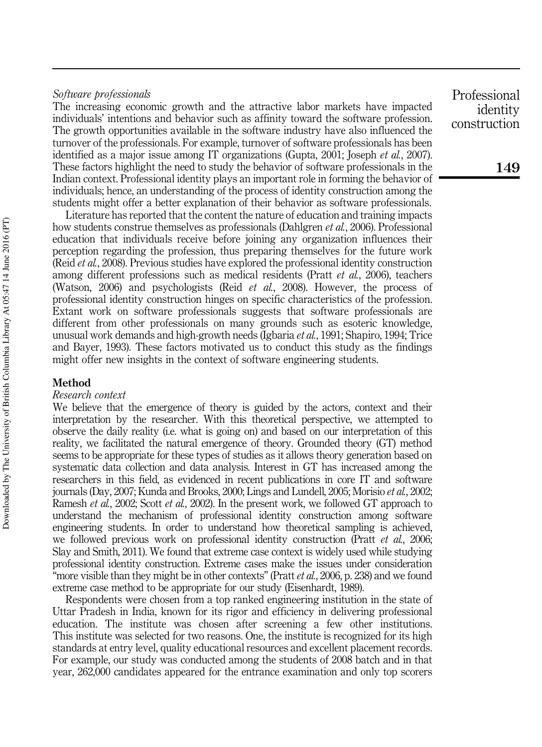#### *Software professionals*

The increasing economic growth and the attractive labor markets have impacted individuals' intentions and behavior such as affinity toward the software profession. The growth opportunities available in the software industry have also influenced the turnover of the professionals. For example, turnover of software professionals has been identified as a major issue among IT organizations (Gupta, 2001; Joseph *et al.*, 2007). These factors highlight the need to study the behavior of software professionals in the Indian context. Professional identity plays an important role in forming the behavior of individuals; hence, an understanding of the process of identity construction among the students might offer a better explanation of their behavior as software professionals.

Literature has reported that the content the nature of education and training impacts how students construe themselves as professionals (Dahlgren *et al.*, 2006). Professional education that individuals receive before joining any organization influences their perception regarding the profession, thus preparing themselves for the future work (Reid *et al.*, 2008). Previous studies have explored the professional identity construction among different professions such as medical residents (Pratt *et al.*, 2006), teachers (Watson, 2006) and psychologists (Reid *et al.*, 2008). However, the process of professional identity construction hinges on specific characteristics of the profession. Extant work on software professionals suggests that software professionals are different from other professionals on many grounds such as esoteric knowledge, unusual work demands and high-growth needs (Igbaria *et al.*, 1991; Shapiro, 1994; Trice and Bayer, 1993). These factors motivated us to conduct this study as the findings might offer new insights in the context of software engineering students.

#### Method

#### *Research context*

We believe that the emergence of theory is guided by the actors, context and their interpretation by the researcher. With this theoretical perspective, we attempted to observe the daily reality (i.e. what is going on) and based on our interpretation of this reality, we facilitated the natural emergence of theory. Grounded theory (GT) method seems to be appropriate for these types of studies as it allows theory generation based on systematic data collection and data analysis. Interest in GT has increased among the researchers in this field, as evidenced in recent publications in core IT and software journals (Day, 2007; Kunda and Brooks, 2000; Lings and Lundell, 2005; Morisio *et al.*, 2002; Ramesh *et al.*, 2002; Scott *et al.*, 2002). In the present work, we followed GT approach to understand the mechanism of professional identity construction among software engineering students. In order to understand how theoretical sampling is achieved, we followed previous work on professional identity construction (Pratt *et al.*, 2006; Slay and Smith, 2011). We found that extreme case context is widely used while studying professional identity construction. Extreme cases make the issues under consideration "more visible than they might be in other contexts" (Pratt*et al.*, 2006, p. 238) and we found extreme case method to be appropriate for our study (Eisenhardt, 1989).

Respondents were chosen from a top ranked engineering institution in the state of Uttar Pradesh in India, known for its rigor and efficiency in delivering professional education. The institute was chosen after screening a few other institutions. This institute was selected for two reasons. One, the institute is recognized for its high standards at entry level, quality educational resources and excellent placement records. For example, our study was conducted among the students of 2008 batch and in that year, 262,000 candidates appeared for the entrance examination and only top scorers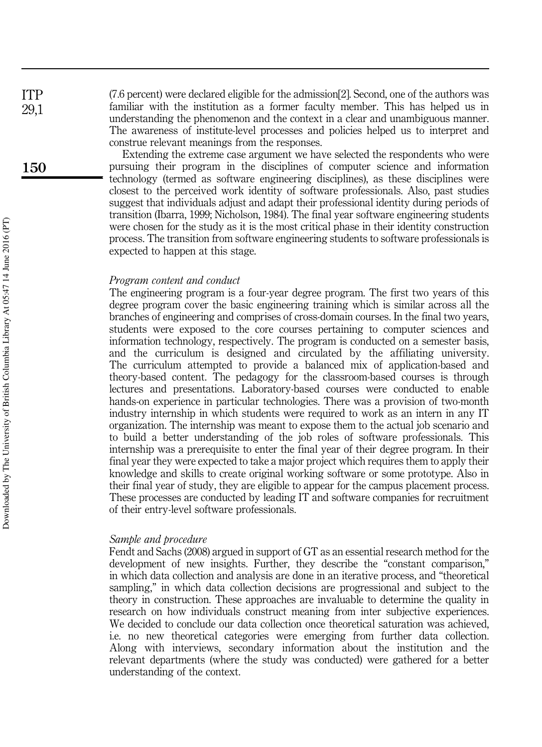(7.6 percent) were declared eligible for the admission[2]. Second, one of the authors was familiar with the institution as a former faculty member. This has helped us in understanding the phenomenon and the context in a clear and unambiguous manner. The awareness of institute-level processes and policies helped us to interpret and construe relevant meanings from the responses.

Extending the extreme case argument we have selected the respondents who were pursuing their program in the disciplines of computer science and information technology (termed as software engineering disciplines), as these disciplines were closest to the perceived work identity of software professionals. Also, past studies suggest that individuals adjust and adapt their professional identity during periods of transition (Ibarra, 1999; Nicholson, 1984). The final year software engineering students were chosen for the study as it is the most critical phase in their identity construction process. The transition from software engineering students to software professionals is expected to happen at this stage.

#### *Program content and conduct*

The engineering program is a four-year degree program. The first two years of this degree program cover the basic engineering training which is similar across all the branches of engineering and comprises of cross-domain courses. In the final two years, students were exposed to the core courses pertaining to computer sciences and information technology, respectively. The program is conducted on a semester basis, and the curriculum is designed and circulated by the affiliating university. The curriculum attempted to provide a balanced mix of application-based and theory-based content. The pedagogy for the classroom-based courses is through lectures and presentations. Laboratory-based courses were conducted to enable hands-on experience in particular technologies. There was a provision of two-month industry internship in which students were required to work as an intern in any IT organization. The internship was meant to expose them to the actual job scenario and to build a better understanding of the job roles of software professionals. This internship was a prerequisite to enter the final year of their degree program. In their final year they were expected to take a major project which requires them to apply their knowledge and skills to create original working software or some prototype. Also in their final year of study, they are eligible to appear for the campus placement process. These processes are conducted by leading IT and software companies for recruitment of their entry-level software professionals.

#### *Sample and procedure*

Fendt and Sachs (2008) argued in support of GT as an essential research method for the development of new insights. Further, they describe the "constant comparison," in which data collection and analysis are done in an iterative process, and "theoretical sampling," in which data collection decisions are progressional and subject to the theory in construction. These approaches are invaluable to determine the quality in research on how individuals construct meaning from inter subjective experiences. We decided to conclude our data collection once theoretical saturation was achieved, i.e. no new theoretical categories were emerging from further data collection. Along with interviews, secondary information about the institution and the relevant departments (where the study was conducted) were gathered for a better understanding of the context.

ITP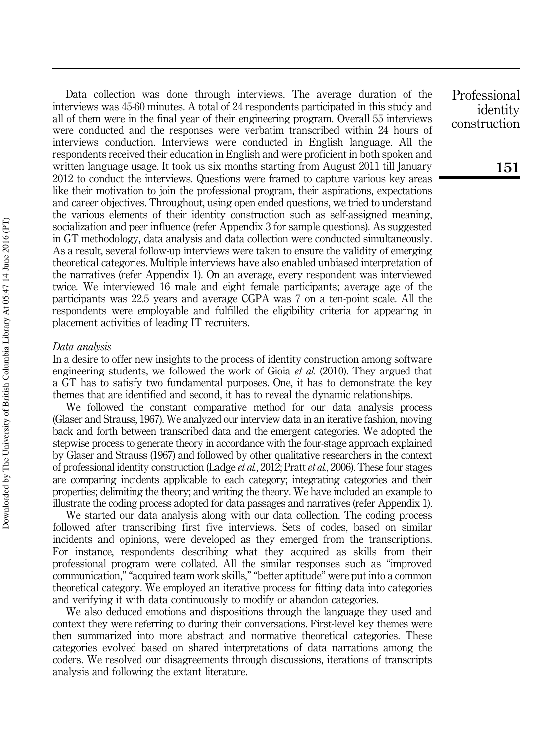Data collection was done through interviews. The average duration of the interviews was 45-60 minutes. A total of 24 respondents participated in this study and all of them were in the final year of their engineering program. Overall 55 interviews were conducted and the responses were verbatim transcribed within 24 hours of interviews conduction. Interviews were conducted in English language. All the respondents received their education in English and were proficient in both spoken and written language usage. It took us six months starting from August 2011 till January 2012 to conduct the interviews. Questions were framed to capture various key areas like their motivation to join the professional program, their aspirations, expectations and career objectives. Throughout, using open ended questions, we tried to understand the various elements of their identity construction such as self-assigned meaning, socialization and peer influence (refer Appendix 3 for sample questions). As suggested in GT methodology, data analysis and data collection were conducted simultaneously. As a result, several follow-up interviews were taken to ensure the validity of emerging theoretical categories. Multiple interviews have also enabled unbiased interpretation of the narratives (refer Appendix 1). On an average, every respondent was interviewed twice. We interviewed 16 male and eight female participants; average age of the participants was 22.5 years and average CGPA was 7 on a ten-point scale. All the respondents were employable and fulfilled the eligibility criteria for appearing in placement activities of leading IT recruiters.

#### *Data analysis*

In a desire to offer new insights to the process of identity construction among software engineering students, we followed the work of Gioia *et al.* (2010). They argued that a GT has to satisfy two fundamental purposes. One, it has to demonstrate the key themes that are identified and second, it has to reveal the dynamic relationships.

We followed the constant comparative method for our data analysis process (Glaser and Strauss, 1967). We analyzed our interview data in an iterative fashion, moving back and forth between transcribed data and the emergent categories. We adopted the stepwise process to generate theory in accordance with the four-stage approach explained by Glaser and Strauss (1967) and followed by other qualitative researchers in the context of professional identity construction (Ladge *et al.*, 2012; Pratt*et al.*, 2006). These four stages are comparing incidents applicable to each category; integrating categories and their properties; delimiting the theory; and writing the theory. We have included an example to illustrate the coding process adopted for data passages and narratives (refer Appendix 1).

We started our data analysis along with our data collection. The coding process followed after transcribing first five interviews. Sets of codes, based on similar incidents and opinions, were developed as they emerged from the transcriptions. For instance, respondents describing what they acquired as skills from their professional program were collated. All the similar responses such as "improved communication," "acquired team work skills," "better aptitude" were put into a common theoretical category. We employed an iterative process for fitting data into categories and verifying it with data continuously to modify or abandon categories.

We also deduced emotions and dispositions through the language they used and context they were referring to during their conversations. First-level key themes were then summarized into more abstract and normative theoretical categories. These categories evolved based on shared interpretations of data narrations among the coders. We resolved our disagreements through discussions, iterations of transcripts analysis and following the extant literature.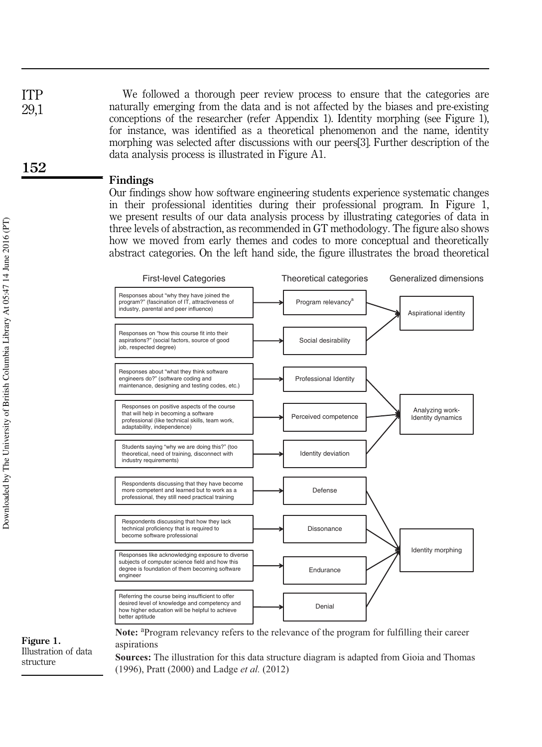We followed a thorough peer review process to ensure that the categories are naturally emerging from the data and is not affected by the biases and pre-existing conceptions of the researcher (refer Appendix 1). Identity morphing (see Figure 1), for instance, was identified as a theoretical phenomenon and the name, identity morphing was selected after discussions with our peers[3]. Further description of the data analysis process is illustrated in Figure A1.

#### Findings

Our findings show how software engineering students experience systematic changes in their professional identities during their professional program. In Figure 1, we present results of our data analysis process by illustrating categories of data in three levels of abstraction, as recommended in GT methodology. The figure also shows how we moved from early themes and codes to more conceptual and theoretically abstract categories. On the left hand side, the figure illustrates the broad theoretical



Figure 1. **aspirations** Illustration of data structure

Note: <sup>a</sup>Program relevancy refers to the relevance of the program for fulfilling their career

**Sources:** The illustration for this data structure diagram is adapted from Gioia and Thomas (1996), Pratt (2000) and Ladge *et al.* (2012)

152

ITP 29,1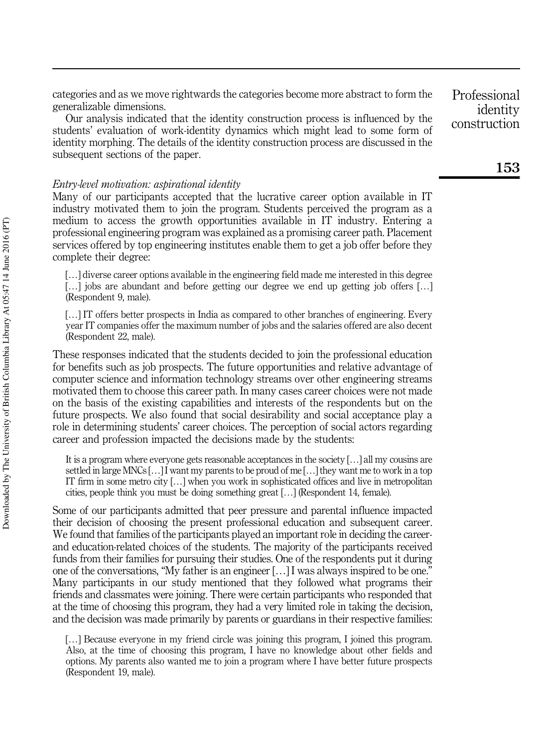categories and as we move rightwards the categories become more abstract to form the generalizable dimensions.

Our analysis indicated that the identity construction process is influenced by the students' evaluation of work-identity dynamics which might lead to some form of identity morphing. The details of the identity construction process are discussed in the subsequent sections of the paper.

#### *Entry-level motivation: aspirational identity*

Many of our participants accepted that the lucrative career option available in IT industry motivated them to join the program. Students perceived the program as a medium to access the growth opportunities available in IT industry. Entering a professional engineering program was explained as a promising career path. Placement services offered by top engineering institutes enable them to get a job offer before they complete their degree:

[...] diverse career options available in the engineering field made me interested in this degree [...] jobs are abundant and before getting our degree we end up getting job offers [...] (Respondent 9, male).

[…] IT offers better prospects in India as compared to other branches of engineering. Every year IT companies offer the maximum number of jobs and the salaries offered are also decent (Respondent 22, male).

These responses indicated that the students decided to join the professional education for benefits such as job prospects. The future opportunities and relative advantage of computer science and information technology streams over other engineering streams motivated them to choose this career path. In many cases career choices were not made on the basis of the existing capabilities and interests of the respondents but on the future prospects. We also found that social desirability and social acceptance play a role in determining students' career choices. The perception of social actors regarding career and profession impacted the decisions made by the students:

It is a program where everyone gets reasonable acceptances in the society […] all my cousins are settled in large MNCs […] I want my parents to be proud of me […] they want me to work in a top IT firm in some metro city […] when you work in sophisticated offices and live in metropolitan cities, people think you must be doing something great […] (Respondent 14, female).

Some of our participants admitted that peer pressure and parental influence impacted their decision of choosing the present professional education and subsequent career. We found that families of the participants played an important role in deciding the careerand education-related choices of the students. The majority of the participants received funds from their families for pursuing their studies. One of the respondents put it during one of the conversations, "My father is an engineer […] I was always inspired to be one." Many participants in our study mentioned that they followed what programs their friends and classmates were joining. There were certain participants who responded that at the time of choosing this program, they had a very limited role in taking the decision, and the decision was made primarily by parents or guardians in their respective families:

[...] Because everyone in my friend circle was joining this program, I joined this program. Also, at the time of choosing this program, I have no knowledge about other fields and options. My parents also wanted me to join a program where I have better future prospects (Respondent 19, male).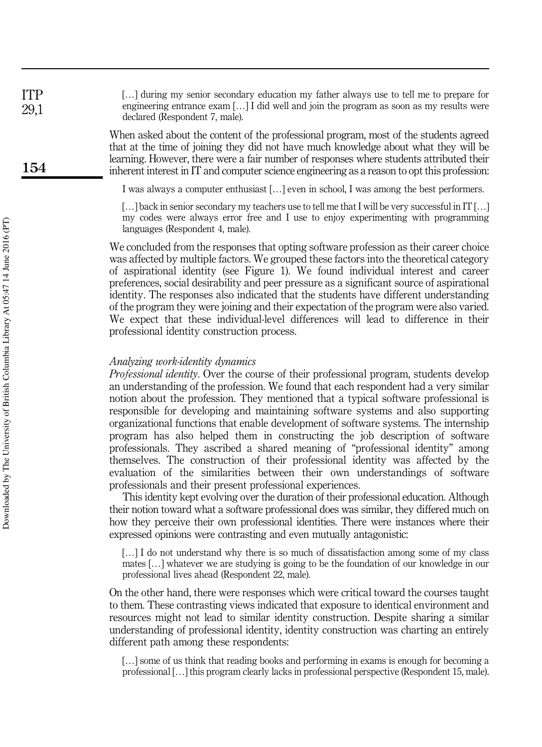[...] during my senior secondary education my father always use to tell me to prepare for engineering entrance exam […] I did well and join the program as soon as my results were declared (Respondent 7, male).

When asked about the content of the professional program, most of the students agreed that at the time of joining they did not have much knowledge about what they will be learning. However, there were a fair number of responses where students attributed their inherent interest in IT and computer science engineering as a reason to opt this profession:

I was always a computer enthusiast […] even in school, I was among the best performers.

[...] back in senior secondary my teachers use to tell me that I will be very successful in IT [...] my codes were always error free and I use to enjoy experimenting with programming languages (Respondent 4, male).

We concluded from the responses that opting software profession as their career choice was affected by multiple factors. We grouped these factors into the theoretical category of aspirational identity (see Figure 1). We found individual interest and career preferences, social desirability and peer pressure as a significant source of aspirational identity. The responses also indicated that the students have different understanding of the program they were joining and their expectation of the program were also varied. We expect that these individual-level differences will lead to difference in their professional identity construction process.

#### *Analyzing work-identity dynamics*

*Professional identity*. Over the course of their professional program, students develop an understanding of the profession. We found that each respondent had a very similar notion about the profession. They mentioned that a typical software professional is responsible for developing and maintaining software systems and also supporting organizational functions that enable development of software systems. The internship program has also helped them in constructing the job description of software professionals. They ascribed a shared meaning of "professional identity" among themselves. The construction of their professional identity was affected by the evaluation of the similarities between their own understandings of software professionals and their present professional experiences.

This identity kept evolving over the duration of their professional education. Although their notion toward what a software professional does was similar, they differed much on how they perceive their own professional identities. There were instances where their expressed opinions were contrasting and even mutually antagonistic:

[...] I do not understand why there is so much of dissatisfaction among some of my class mates […] whatever we are studying is going to be the foundation of our knowledge in our professional lives ahead (Respondent 22, male).

On the other hand, there were responses which were critical toward the courses taught to them. These contrasting views indicated that exposure to identical environment and resources might not lead to similar identity construction. Despite sharing a similar understanding of professional identity, identity construction was charting an entirely different path among these respondents:

[...] some of us think that reading books and performing in exams is enough for becoming a professional […] this program clearly lacks in professional perspective (Respondent 15, male).

154

ITP 29,1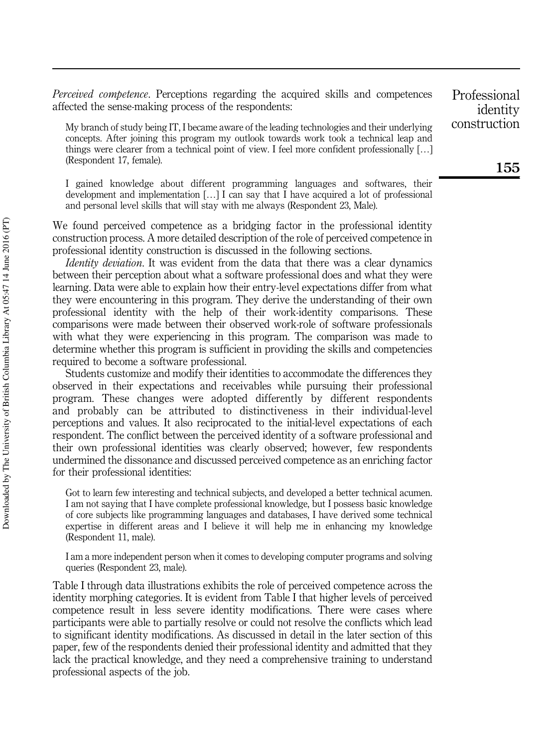*Perceived competence*. Perceptions regarding the acquired skills and competences affected the sense-making process of the respondents:

My branch of study being IT, I became aware of the leading technologies and their underlying concepts. After joining this program my outlook towards work took a technical leap and things were clearer from a technical point of view. I feel more confident professionally […] (Respondent 17, female).

I gained knowledge about different programming languages and softwares, their development and implementation […] I can say that I have acquired a lot of professional and personal level skills that will stay with me always (Respondent 23, Male).

We found perceived competence as a bridging factor in the professional identity construction process. A more detailed description of the role of perceived competence in professional identity construction is discussed in the following sections.

*Identity deviation*. It was evident from the data that there was a clear dynamics between their perception about what a software professional does and what they were learning. Data were able to explain how their entry-level expectations differ from what they were encountering in this program. They derive the understanding of their own professional identity with the help of their work-identity comparisons. These comparisons were made between their observed work-role of software professionals with what they were experiencing in this program. The comparison was made to determine whether this program is sufficient in providing the skills and competencies required to become a software professional.

Students customize and modify their identities to accommodate the differences they observed in their expectations and receivables while pursuing their professional program. These changes were adopted differently by different respondents and probably can be attributed to distinctiveness in their individual-level perceptions and values. It also reciprocated to the initial-level expectations of each respondent. The conflict between the perceived identity of a software professional and their own professional identities was clearly observed; however, few respondents undermined the dissonance and discussed perceived competence as an enriching factor for their professional identities:

Got to learn few interesting and technical subjects, and developed a better technical acumen. I am not saying that I have complete professional knowledge, but I possess basic knowledge of core subjects like programming languages and databases, I have derived some technical expertise in different areas and I believe it will help me in enhancing my knowledge (Respondent 11, male).

I am a more independent person when it comes to developing computer programs and solving queries (Respondent 23, male).

Table I through data illustrations exhibits the role of perceived competence across the identity morphing categories. It is evident from Table I that higher levels of perceived competence result in less severe identity modifications. There were cases where participants were able to partially resolve or could not resolve the conflicts which lead to significant identity modifications. As discussed in detail in the later section of this paper, few of the respondents denied their professional identity and admitted that they lack the practical knowledge, and they need a comprehensive training to understand professional aspects of the job.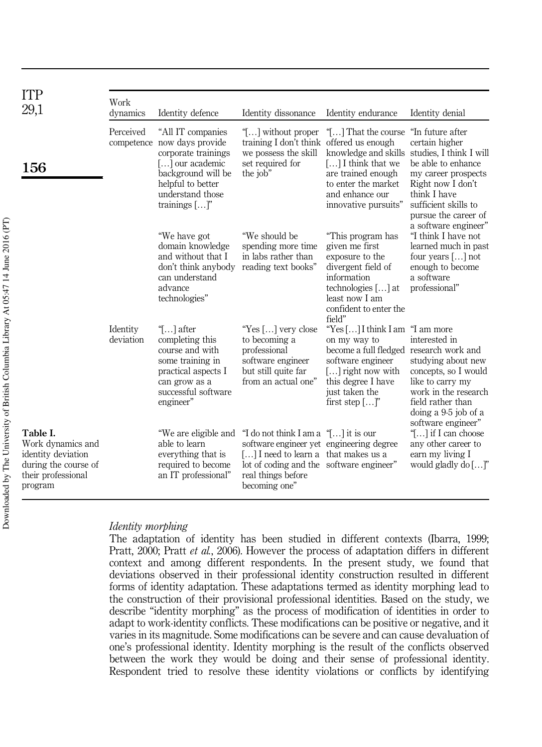| <b>ITP</b><br>29,1                                                                                                                                                                                                                                                                                                                                                                                                                                                                                                                                      | Work<br>dynamics                                                                                                       | Identity defence                                                                                                                                                                                         | Identity dissonance                                                                                                                                                                                         | Identity endurance                                                                                                                                                          | Identity denial                                                                                                                                                                                                                                                                                                                                                     |  |  |
|---------------------------------------------------------------------------------------------------------------------------------------------------------------------------------------------------------------------------------------------------------------------------------------------------------------------------------------------------------------------------------------------------------------------------------------------------------------------------------------------------------------------------------------------------------|------------------------------------------------------------------------------------------------------------------------|----------------------------------------------------------------------------------------------------------------------------------------------------------------------------------------------------------|-------------------------------------------------------------------------------------------------------------------------------------------------------------------------------------------------------------|-----------------------------------------------------------------------------------------------------------------------------------------------------------------------------|---------------------------------------------------------------------------------------------------------------------------------------------------------------------------------------------------------------------------------------------------------------------------------------------------------------------------------------------------------------------|--|--|
| Perceived<br>"All IT companies"<br>competence now days provide<br>corporate trainings<br>[] our academic<br>156<br>background will be<br>helpful to better<br>understand those<br>trainings $[\dots]$ "<br>"We have got<br>domain knowledge<br>and without that I<br>don't think anybody<br>can understand<br>advance<br>technologies"<br>Identity<br>$\lbrack\!\lbrack\ldots\rbrack\!\rbrack$ after<br>deviation<br>completing this<br>course and with<br>some training in<br>practical aspects I<br>can grow as a<br>successful software<br>engineer" |                                                                                                                        |                                                                                                                                                                                                          | "[] without proper<br>training I don't think<br>we possess the skill<br>set required for<br>the job"                                                                                                        | "[] That the course<br>offered us enough<br>$\left[ \ldots \right]$ I think that we<br>are trained enough<br>to enter the market<br>and enhance our<br>innovative pursuits" | "In future after<br>certain higher<br>knowledge and skills studies, I think I will<br>be able to enhance<br>my career prospects<br>Right now I don't<br>think I have<br>sufficient skills to<br>pursue the career of<br>a software engineer"<br>"I think I have not<br>learned much in past<br>four years [] not<br>enough to become<br>a software<br>professional" |  |  |
|                                                                                                                                                                                                                                                                                                                                                                                                                                                                                                                                                         |                                                                                                                        |                                                                                                                                                                                                          | "We should be<br>spending more time<br>in labs rather than<br>reading text books"                                                                                                                           | "This program has<br>given me first<br>exposure to the<br>divergent field of<br>information<br>technologies [] at<br>least now I am<br>confident to enter the<br>field"     |                                                                                                                                                                                                                                                                                                                                                                     |  |  |
|                                                                                                                                                                                                                                                                                                                                                                                                                                                                                                                                                         | "Yes [] very close<br>to becoming a<br>professional<br>software engineer<br>but still quite far<br>from an actual one" | "Yes [] I think I am "I am more<br>on my way to<br>become a full fledged<br>software engineer<br>$\left[\ldots\right]$ right now with<br>this degree I have<br>just taken the<br>first step $[\ldots]$ " | interested in<br>research work and<br>studying about new<br>concepts, so I would<br>like to carry my<br>work in the research<br>field rather than<br>doing a $9-5$ job of a                                 |                                                                                                                                                                             |                                                                                                                                                                                                                                                                                                                                                                     |  |  |
| Table I.<br>Work dynamics and<br>identity deviation<br>during the course of<br>their professional<br>program                                                                                                                                                                                                                                                                                                                                                                                                                                            |                                                                                                                        | "We are eligible and<br>able to learn<br>everything that is<br>required to become<br>an IT professional"                                                                                                 | "I do not think I am a "[] it is our<br>software engineer yet engineering degree<br>[] I need to learn a that makes us a<br>lot of coding and the software engineer"<br>real things before<br>becoming one" |                                                                                                                                                                             | software engineer"<br>"[] if I can choose<br>any other career to<br>earn my living I<br>would gladly do $[\ldots]$ "                                                                                                                                                                                                                                                |  |  |

#### *Identity morphing*

The adaptation of identity has been studied in different contexts (Ibarra, 1999; Pratt, 2000; Pratt *et al.*, 2006). However the process of adaptation differs in different context and among different respondents. In the present study, we found that deviations observed in their professional identity construction resulted in different forms of identity adaptation. These adaptations termed as identity morphing lead to the construction of their provisional professional identities. Based on the study, we describe "identity morphing" as the process of modification of identities in order to adapt to work-identity conflicts. These modifications can be positive or negative, and it varies in its magnitude. Some modifications can be severe and can cause devaluation of one's professional identity. Identity morphing is the result of the conflicts observed between the work they would be doing and their sense of professional identity. Respondent tried to resolve these identity violations or conflicts by identifying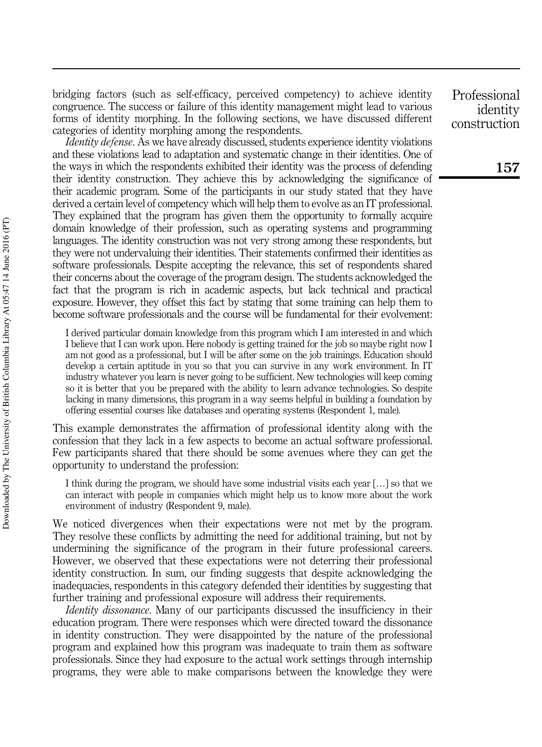bridging factors (such as self-efficacy, perceived competency) to achieve identity congruence. The success or failure of this identity management might lead to various forms of identity morphing. In the following sections, we have discussed different categories of identity morphing among the respondents.

*Identity defense*. As we have already discussed, students experience identity violations and these violations lead to adaptation and systematic change in their identities. One of the ways in which the respondents exhibited their identity was the process of defending their identity construction. They achieve this by acknowledging the significance of their academic program. Some of the participants in our study stated that they have derived a certain level of competency which will help them to evolve as an IT professional. They explained that the program has given them the opportunity to formally acquire domain knowledge of their profession, such as operating systems and programming languages. The identity construction was not very strong among these respondents, but they were not undervaluing their identities. Their statements confirmed their identities as software professionals. Despite accepting the relevance, this set of respondents shared their concerns about the coverage of the program design. The students acknowledged the fact that the program is rich in academic aspects, but lack technical and practical exposure. However, they offset this fact by stating that some training can help them to become software professionals and the course will be fundamental for their evolvement:

I derived particular domain knowledge from this program which I am interested in and which I believe that I can work upon. Here nobody is getting trained for the job so maybe right now I am not good as a professional, but I will be after some on the job trainings. Education should develop a certain aptitude in you so that you can survive in any work environment. In IT industry whatever you learn is never going to be sufficient. New technologies will keep coming so it is better that you be prepared with the ability to learn advance technologies. So despite lacking in many dimensions, this program in a way seems helpful in building a foundation by offering essential courses like databases and operating systems (Respondent 1, male).

This example demonstrates the affirmation of professional identity along with the confession that they lack in a few aspects to become an actual software professional. Few participants shared that there should be some avenues where they can get the opportunity to understand the profession:

I think during the program, we should have some industrial visits each year […] so that we can interact with people in companies which might help us to know more about the work environment of industry (Respondent 9, male).

We noticed divergences when their expectations were not met by the program. They resolve these conflicts by admitting the need for additional training, but not by undermining the significance of the program in their future professional careers. However, we observed that these expectations were not deterring their professional identity construction. In sum, our finding suggests that despite acknowledging the inadequacies, respondents in this category defended their identities by suggesting that further training and professional exposure will address their requirements.

*Identity dissonance*. Many of our participants discussed the insufficiency in their education program. There were responses which were directed toward the dissonance in identity construction. They were disappointed by the nature of the professional program and explained how this program was inadequate to train them as software professionals. Since they had exposure to the actual work settings through internship programs, they were able to make comparisons between the knowledge they were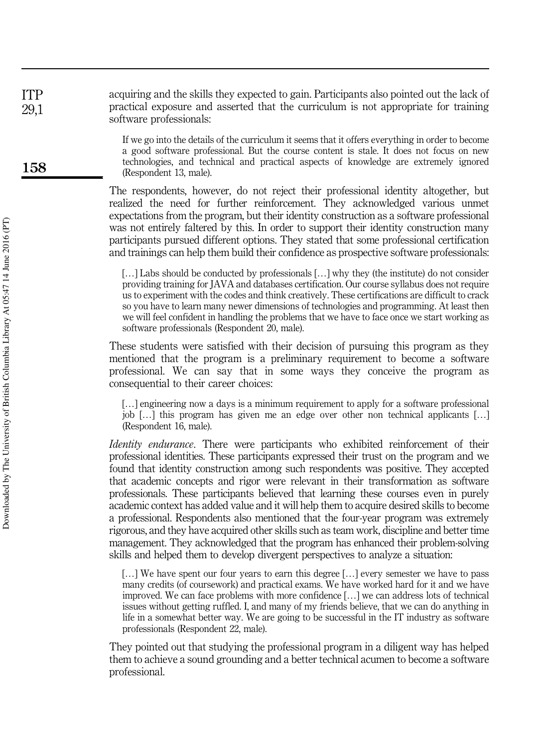acquiring and the skills they expected to gain. Participants also pointed out the lack of practical exposure and asserted that the curriculum is not appropriate for training software professionals:

> If we go into the details of the curriculum it seems that it offers everything in order to become a good software professional. But the course content is stale. It does not focus on new technologies, and technical and practical aspects of knowledge are extremely ignored (Respondent 13, male).

The respondents, however, do not reject their professional identity altogether, but realized the need for further reinforcement. They acknowledged various unmet expectations from the program, but their identity construction as a software professional was not entirely faltered by this. In order to support their identity construction many participants pursued different options. They stated that some professional certification and trainings can help them build their confidence as prospective software professionals:

[...] Labs should be conducted by professionals [...] why they (the institute) do not consider providing training for JAVA and databases certification. Our course syllabus does not require us to experiment with the codes and think creatively. These certifications are difficult to crack so you have to learn many newer dimensions of technologies and programming. At least then we will feel confident in handling the problems that we have to face once we start working as software professionals (Respondent 20, male).

These students were satisfied with their decision of pursuing this program as they mentioned that the program is a preliminary requirement to become a software professional. We can say that in some ways they conceive the program as consequential to their career choices:

[...] engineering now a days is a minimum requirement to apply for a software professional job […] this program has given me an edge over other non technical applicants […] (Respondent 16, male).

*Identity endurance*. There were participants who exhibited reinforcement of their professional identities. These participants expressed their trust on the program and we found that identity construction among such respondents was positive. They accepted that academic concepts and rigor were relevant in their transformation as software professionals. These participants believed that learning these courses even in purely academic context has added value and it will help them to acquire desired skills to become a professional. Respondents also mentioned that the four-year program was extremely rigorous, and they have acquired other skills such as team work, discipline and better time management. They acknowledged that the program has enhanced their problem-solving skills and helped them to develop divergent perspectives to analyze a situation:

[...] We have spent our four years to earn this degree [...] every semester we have to pass many credits (of coursework) and practical exams. We have worked hard for it and we have improved. We can face problems with more confidence […] we can address lots of technical issues without getting ruffled. I, and many of my friends believe, that we can do anything in life in a somewhat better way. We are going to be successful in the IT industry as software professionals (Respondent 22, male).

They pointed out that studying the professional program in a diligent way has helped them to achieve a sound grounding and a better technical acumen to become a software professional.

ITP 29,1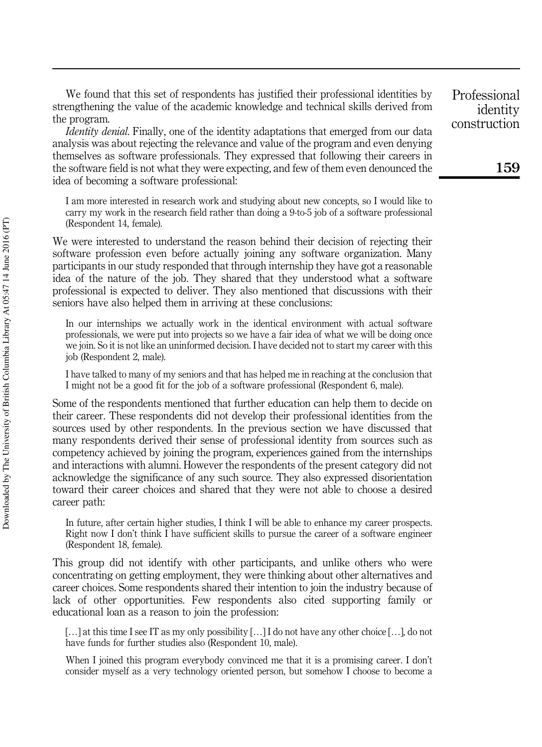We found that this set of respondents has justified their professional identities by strengthening the value of the academic knowledge and technical skills derived from the program.

*Identity denial*. Finally, one of the identity adaptations that emerged from our data analysis was about rejecting the relevance and value of the program and even denying themselves as software professionals. They expressed that following their careers in the software field is not what they were expecting, and few of them even denounced the idea of becoming a software professional:

I am more interested in research work and studying about new concepts, so I would like to carry my work in the research field rather than doing a 9-to-5 job of a software professional (Respondent 14, female).

We were interested to understand the reason behind their decision of rejecting their software profession even before actually joining any software organization. Many participants in our study responded that through internship they have got a reasonable idea of the nature of the job. They shared that they understood what a software professional is expected to deliver. They also mentioned that discussions with their seniors have also helped them in arriving at these conclusions:

In our internships we actually work in the identical environment with actual software professionals, we were put into projects so we have a fair idea of what we will be doing once we join. So it is not like an uninformed decision. I have decided not to start my career with this job (Respondent 2, male).

I have talked to many of my seniors and that has helped me in reaching at the conclusion that I might not be a good fit for the job of a software professional (Respondent 6, male).

Some of the respondents mentioned that further education can help them to decide on their career. These respondents did not develop their professional identities from the sources used by other respondents. In the previous section we have discussed that many respondents derived their sense of professional identity from sources such as competency achieved by joining the program, experiences gained from the internships and interactions with alumni. However the respondents of the present category did not acknowledge the significance of any such source. They also expressed disorientation toward their career choices and shared that they were not able to choose a desired career path:

In future, after certain higher studies, I think I will be able to enhance my career prospects. Right now I don't think I have sufficient skills to pursue the career of a software engineer (Respondent 18, female).

This group did not identify with other participants, and unlike others who were concentrating on getting employment, they were thinking about other alternatives and career choices. Some respondents shared their intention to join the industry because of lack of other opportunities. Few respondents also cited supporting family or educational loan as a reason to join the profession:

[...] at this time I see IT as my only possibility  $[\,\ldots]$  I do not have any other choice  $[\,\ldots]$ , do not have funds for further studies also (Respondent 10, male).

When I joined this program everybody convinced me that it is a promising career. I don't consider myself as a very technology oriented person, but somehow I choose to become a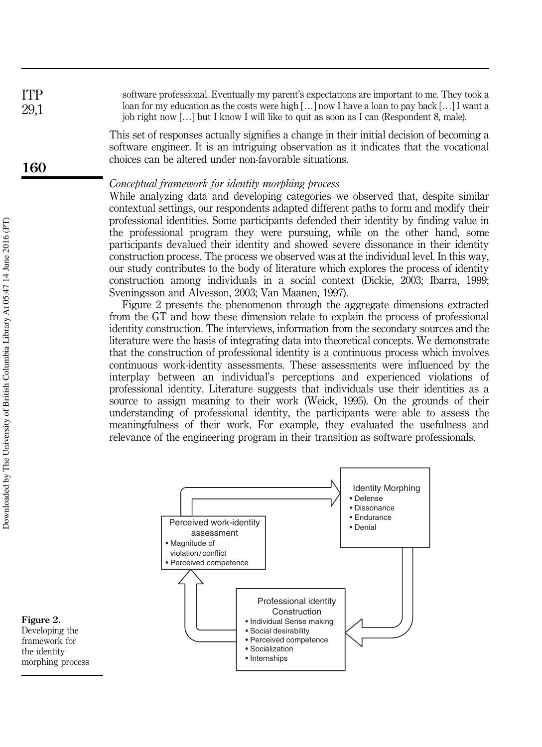software professional. Eventually my parent's expectations are important to me. They took a loan for my education as the costs were high […] now I have a loan to pay back […] I want a job right now […] but I know I will like to quit as soon as I can (Respondent 8, male).

This set of responses actually signifies a change in their initial decision of becoming a software engineer. It is an intriguing observation as it indicates that the vocational choices can be altered under non-favorable situations.

#### *Conceptual framework for identity morphing process*

While analyzing data and developing categories we observed that, despite similar contextual settings, our respondents adapted different paths to form and modify their professional identities. Some participants defended their identity by finding value in the professional program they were pursuing, while on the other hand, some participants devalued their identity and showed severe dissonance in their identity construction process. The process we observed was at the individual level. In this way, our study contributes to the body of literature which explores the process of identity construction among individuals in a social context (Dickie, 2003; Ibarra, 1999; Sveningsson and Alvesson, 2003; Van Maanen, 1997).

Figure 2 presents the phenomenon through the aggregate dimensions extracted from the GT and how these dimension relate to explain the process of professional identity construction. The interviews, information from the secondary sources and the literature were the basis of integrating data into theoretical concepts. We demonstrate that the construction of professional identity is a continuous process which involves continuous work-identity assessments. These assessments were influenced by the interplay between an individual's perceptions and experienced violations of professional identity. Literature suggests that individuals use their identities as a source to assign meaning to their work (Weick, 1995). On the grounds of their understanding of professional identity, the participants were able to assess the meaningfulness of their work. For example, they evaluated the usefulness and relevance of the engineering program in their transition as software professionals.



Figure 2. Developing the framework for the identity morphing process

160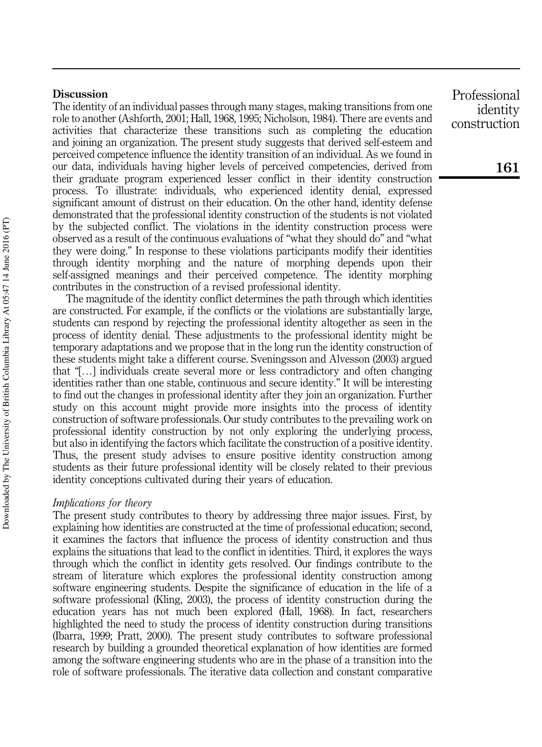#### Discussion

The identity of an individual passes through many stages, making transitions from one role to another (Ashforth, 2001; Hall, 1968, 1995; Nicholson, 1984). There are events and activities that characterize these transitions such as completing the education and joining an organization. The present study suggests that derived self-esteem and perceived competence influence the identity transition of an individual. As we found in our data, individuals having higher levels of perceived competencies, derived from their graduate program experienced lesser conflict in their identity construction process. To illustrate: individuals, who experienced identity denial, expressed significant amount of distrust on their education. On the other hand, identity defense demonstrated that the professional identity construction of the students is not violated by the subjected conflict. The violations in the identity construction process were observed as a result of the continuous evaluations of "what they should do" and "what they were doing." In response to these violations participants modify their identities through identity morphing and the nature of morphing depends upon their self-assigned meanings and their perceived competence. The identity morphing contributes in the construction of a revised professional identity.

The magnitude of the identity conflict determines the path through which identities are constructed. For example, if the conflicts or the violations are substantially large, students can respond by rejecting the professional identity altogether as seen in the process of identity denial. These adjustments to the professional identity might be temporary adaptations and we propose that in the long run the identity construction of these students might take a different course. Sveningsson and Alvesson (2003) argued that "[…] individuals create several more or less contradictory and often changing identities rather than one stable, continuous and secure identity." It will be interesting to find out the changes in professional identity after they join an organization. Further study on this account might provide more insights into the process of identity construction of software professionals. Our study contributes to the prevailing work on professional identity construction by not only exploring the underlying process, but also in identifying the factors which facilitate the construction of a positive identity. Thus, the present study advises to ensure positive identity construction among students as their future professional identity will be closely related to their previous identity conceptions cultivated during their years of education.

#### *Implications for theory*

The present study contributes to theory by addressing three major issues. First, by explaining how identities are constructed at the time of professional education; second, it examines the factors that influence the process of identity construction and thus explains the situations that lead to the conflict in identities. Third, it explores the ways through which the conflict in identity gets resolved. Our findings contribute to the stream of literature which explores the professional identity construction among software engineering students. Despite the significance of education in the life of a software professional (Kling, 2003), the process of identity construction during the education years has not much been explored (Hall, 1968). In fact, researchers highlighted the need to study the process of identity construction during transitions (Ibarra, 1999; Pratt, 2000). The present study contributes to software professional research by building a grounded theoretical explanation of how identities are formed among the software engineering students who are in the phase of a transition into the role of software professionals. The iterative data collection and constant comparative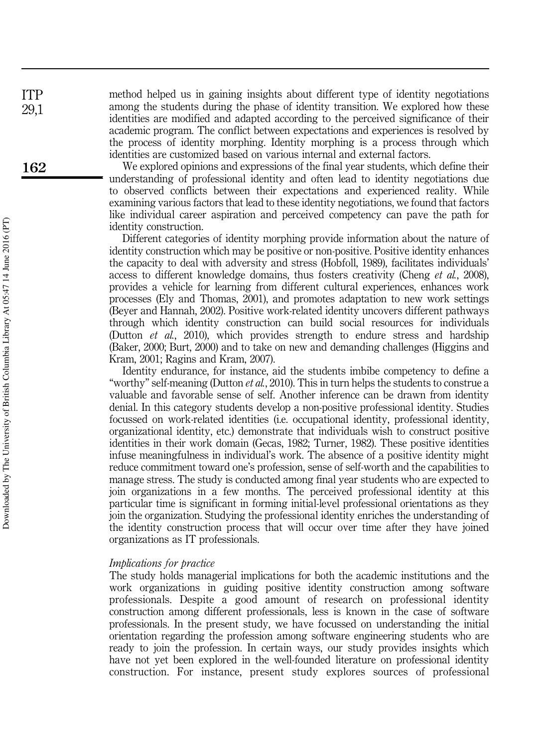method helped us in gaining insights about different type of identity negotiations among the students during the phase of identity transition. We explored how these identities are modified and adapted according to the perceived significance of their academic program. The conflict between expectations and experiences is resolved by the process of identity morphing. Identity morphing is a process through which identities are customized based on various internal and external factors.

We explored opinions and expressions of the final year students, which define their understanding of professional identity and often lead to identity negotiations due to observed conflicts between their expectations and experienced reality. While examining various factors that lead to these identity negotiations, we found that factors like individual career aspiration and perceived competency can pave the path for identity construction.

Different categories of identity morphing provide information about the nature of identity construction which may be positive or non-positive. Positive identity enhances the capacity to deal with adversity and stress (Hobfoll, 1989), facilitates individuals' access to different knowledge domains, thus fosters creativity (Cheng *et al.*, 2008), provides a vehicle for learning from different cultural experiences, enhances work processes (Ely and Thomas, 2001), and promotes adaptation to new work settings (Beyer and Hannah, 2002). Positive work-related identity uncovers different pathways through which identity construction can build social resources for individuals (Dutton *et al.*, 2010), which provides strength to endure stress and hardship (Baker, 2000; Burt, 2000) and to take on new and demanding challenges (Higgins and Kram, 2001; Ragins and Kram, 2007).

Identity endurance, for instance, aid the students imbibe competency to define a "worthy" self-meaning (Dutton *et al.*, 2010). This in turn helps the students to construe a valuable and favorable sense of self. Another inference can be drawn from identity denial. In this category students develop a non-positive professional identity. Studies focussed on work-related identities (i.e. occupational identity, professional identity, organizational identity, etc.) demonstrate that individuals wish to construct positive identities in their work domain (Gecas, 1982; Turner, 1982). These positive identities infuse meaningfulness in individual's work. The absence of a positive identity might reduce commitment toward one's profession, sense of self-worth and the capabilities to manage stress. The study is conducted among final year students who are expected to join organizations in a few months. The perceived professional identity at this particular time is significant in forming initial-level professional orientations as they join the organization. Studying the professional identity enriches the understanding of the identity construction process that will occur over time after they have joined organizations as IT professionals.

#### *Implications for practice*

The study holds managerial implications for both the academic institutions and the work organizations in guiding positive identity construction among software professionals. Despite a good amount of research on professional identity construction among different professionals, less is known in the case of software professionals. In the present study, we have focussed on understanding the initial orientation regarding the profession among software engineering students who are ready to join the profession. In certain ways, our study provides insights which have not yet been explored in the well-founded literature on professional identity construction. For instance, present study explores sources of professional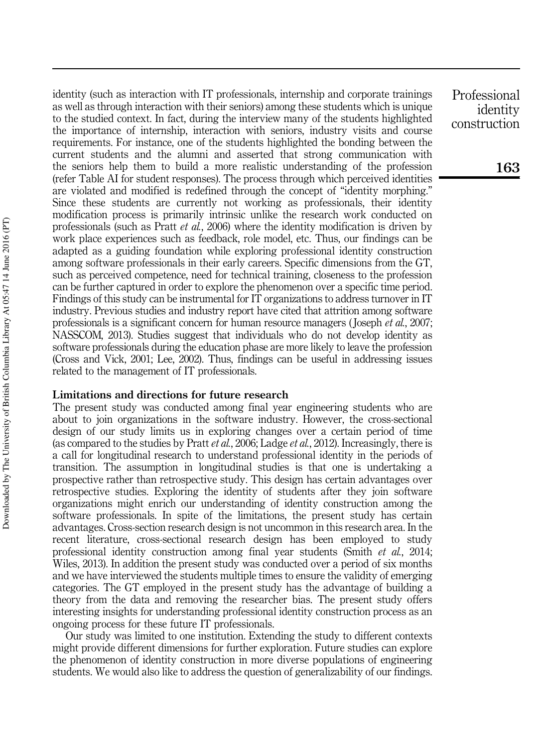identity (such as interaction with IT professionals, internship and corporate trainings as well as through interaction with their seniors) among these students which is unique to the studied context. In fact, during the interview many of the students highlighted the importance of internship, interaction with seniors, industry visits and course requirements. For instance, one of the students highlighted the bonding between the current students and the alumni and asserted that strong communication with the seniors help them to build a more realistic understanding of the profession (refer Table AI for student responses). The process through which perceived identities are violated and modified is redefined through the concept of "identity morphing." Since these students are currently not working as professionals, their identity modification process is primarily intrinsic unlike the research work conducted on professionals (such as Pratt *et al.*, 2006) where the identity modification is driven by work place experiences such as feedback, role model, etc. Thus, our findings can be adapted as a guiding foundation while exploring professional identity construction among software professionals in their early careers. Specific dimensions from the GT, such as perceived competence, need for technical training, closeness to the profession can be further captured in order to explore the phenomenon over a specific time period. Findings of this study can be instrumental for IT organizations to address turnover in IT industry. Previous studies and industry report have cited that attrition among software professionals is a significant concern for human resource managers ( Joseph *et al.*, 2007; NASSCOM, 2013). Studies suggest that individuals who do not develop identity as software professionals during the education phase are more likely to leave the profession (Cross and Vick, 2001; Lee, 2002). Thus, findings can be useful in addressing issues related to the management of IT professionals.

#### Limitations and directions for future research

The present study was conducted among final year engineering students who are about to join organizations in the software industry. However, the cross-sectional design of our study limits us in exploring changes over a certain period of time (as compared to the studies by Pratt *et al.*, 2006; Ladge *et al.*, 2012). Increasingly, there is a call for longitudinal research to understand professional identity in the periods of transition. The assumption in longitudinal studies is that one is undertaking a prospective rather than retrospective study. This design has certain advantages over retrospective studies. Exploring the identity of students after they join software organizations might enrich our understanding of identity construction among the software professionals. In spite of the limitations, the present study has certain advantages. Cross-section research design is not uncommon in this research area. In the recent literature, cross-sectional research design has been employed to study professional identity construction among final year students (Smith *et al.*, 2014; Wiles, 2013). In addition the present study was conducted over a period of six months and we have interviewed the students multiple times to ensure the validity of emerging categories. The GT employed in the present study has the advantage of building a theory from the data and removing the researcher bias. The present study offers interesting insights for understanding professional identity construction process as an ongoing process for these future IT professionals.

Our study was limited to one institution. Extending the study to different contexts might provide different dimensions for further exploration. Future studies can explore the phenomenon of identity construction in more diverse populations of engineering students. We would also like to address the question of generalizability of our findings.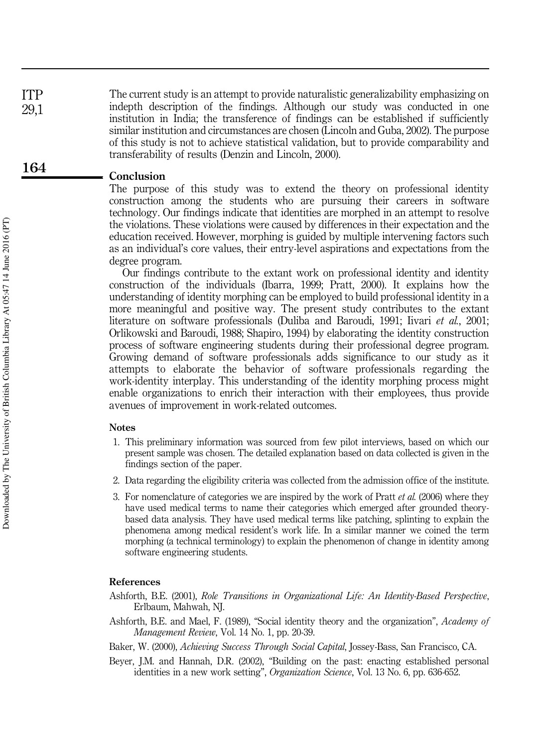The current study is an attempt to provide naturalistic generalizability emphasizing on indepth description of the findings. Although our study was conducted in one institution in India; the transference of findings can be established if sufficiently similar institution and circumstances are chosen (Lincoln and Guba, 2002). The purpose of this study is not to achieve statistical validation, but to provide comparability and transferability of results (Denzin and Lincoln, 2000).

#### Conclusion

The purpose of this study was to extend the theory on professional identity construction among the students who are pursuing their careers in software technology. Our findings indicate that identities are morphed in an attempt to resolve the violations. These violations were caused by differences in their expectation and the education received. However, morphing is guided by multiple intervening factors such as an individual's core values, their entry-level aspirations and expectations from the degree program.

Our findings contribute to the extant work on professional identity and identity construction of the individuals (Ibarra, 1999; Pratt, 2000). It explains how the understanding of identity morphing can be employed to build professional identity in a more meaningful and positive way. The present study contributes to the extant literature on software professionals (Duliba and Baroudi, 1991; Iivari *et al.*, 2001; Orlikowski and Baroudi, 1988; Shapiro, 1994) by elaborating the identity construction process of software engineering students during their professional degree program. Growing demand of software professionals adds significance to our study as it attempts to elaborate the behavior of software professionals regarding the work-identity interplay. This understanding of the identity morphing process might enable organizations to enrich their interaction with their employees, thus provide avenues of improvement in work-related outcomes.

#### Notes

- 1. This preliminary information was sourced from few pilot interviews, based on which our present sample was chosen. The detailed explanation based on data collected is given in the findings section of the paper.
- 2. Data regarding the eligibility criteria was collected from the admission office of the institute.
- 3. For nomenclature of categories we are inspired by the work of Pratt *et al.* (2006) where they have used medical terms to name their categories which emerged after grounded theorybased data analysis. They have used medical terms like patching, splinting to explain the phenomena among medical resident's work life. In a similar manner we coined the term morphing (a technical terminology) to explain the phenomenon of change in identity among software engineering students.

#### References

Ashforth, B.E. (2001), *Role Transitions in Organizational Life: An Identity-Based Perspective*, Erlbaum, Mahwah, NJ.

- Ashforth, B.E. and Mael, F. (1989), "Social identity theory and the organization", *Academy of Management Review*, Vol. 14 No. 1, pp. 20-39.
- Baker, W. (2000), *Achieving Success Through Social Capital*, Jossey-Bass, San Francisco, CA.
- Beyer, J.M. and Hannah, D.R. (2002), "Building on the past: enacting established personal identities in a new work setting", *Organization Science*, Vol. 13 No. 6, pp. 636-652.

ITP 29,1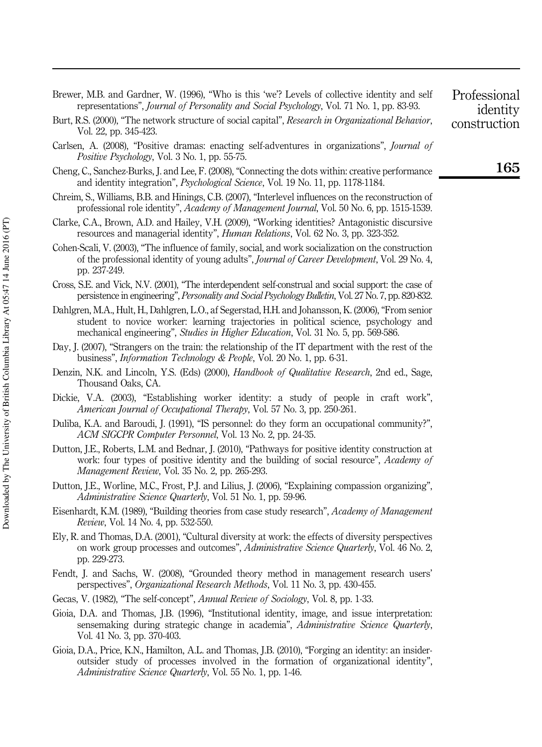| Brewer, M.B. and Gardner, W. (1996), "Who is this 'we'? Levels of collective identity and self    |  |
|---------------------------------------------------------------------------------------------------|--|
| representations", <i>Journal of Personality and Social Psychology</i> , Vol. 71 No. 1, pp. 83-93. |  |

- Burt, R.S. (2000), "The network structure of social capital", *Research in Organizational Behavior*, Vol. 22, pp. 345-423.
- Carlsen, A. (2008), "Positive dramas: enacting self-adventures in organizations", *Journal of Positive Psychology*, Vol. 3 No. 1, pp. 55-75.
- Cheng, C., Sanchez-Burks, J. and Lee, F. (2008), "Connecting the dots within: creative performance and identity integration", *Psychological Science*, Vol. 19 No. 11, pp. 1178-1184.
- Chreim, S., Williams, B.B. and Hinings, C.B. (2007), "Interlevel influences on the reconstruction of professional role identity", *Academy of Management Journal*, Vol. 50 No. 6, pp. 1515-1539.
- Clarke, C.A., Brown, A.D. and Hailey, V.H. (2009), "Working identities? Antagonistic discursive resources and managerial identity", *Human Relations*, Vol. 62 No. 3, pp. 323-352.
- Cohen-Scali, V. (2003), "The influence of family, social, and work socialization on the construction of the professional identity of young adults", *Journal of Career Development*, Vol. 29 No. 4, pp. 237-249.
- Cross, S.E. and Vick, N.V. (2001), "The interdependent self-construal and social support: the case of persistence in engineering", *Personality and Social Psychology Bulletin*, Vol. 27 No. 7, pp. 820-832.
- Dahlgren, M.A., Hult, H., Dahlgren, L.O., af Segerstad, H.H. and Johansson, K. (2006), "From senior student to novice worker: learning trajectories in political science, psychology and mechanical engineering", *Studies in Higher Education*, Vol. 31 No. 5, pp. 569-586.
- Day, J. (2007), "Strangers on the train: the relationship of the IT department with the rest of the business", *Information Technology & People*, Vol. 20 No. 1, pp. 6-31.
- Denzin, N.K. and Lincoln, Y.S. (Eds) (2000), *Handbook of Qualitative Research*, 2nd ed., Sage, Thousand Oaks, CA.
- Dickie, V.A. (2003), "Establishing worker identity: a study of people in craft work", *American Journal of Occupational Therapy*, Vol. 57 No. 3, pp. 250-261.
- Duliba, K.A. and Baroudi, J. (1991), "IS personnel: do they form an occupational community?", *ACM SIGCPR Computer Personnel*, Vol. 13 No. 2, pp. 24-35.
- Dutton, J.E., Roberts, L.M. and Bednar, J. (2010), "Pathways for positive identity construction at work: four types of positive identity and the building of social resource", *Academy of Management Review*, Vol. 35 No. 2, pp. 265-293.
- Dutton, J.E., Worline, M.C., Frost, P.J. and Lilius, J. (2006), "Explaining compassion organizing", *Administrative Science Quarterly*, Vol. 51 No. 1, pp. 59-96.
- Eisenhardt, K.M. (1989), "Building theories from case study research", *Academy of Management Review*, Vol. 14 No. 4, pp. 532-550.
- Ely, R. and Thomas, D.A. (2001), "Cultural diversity at work: the effects of diversity perspectives on work group processes and outcomes", *Administrative Science Quarterly*, Vol. 46 No. 2, pp. 229-273.
- Fendt, J. and Sachs, W. (2008), "Grounded theory method in management research users' perspectives", *Organizational Research Methods*, Vol. 11 No. 3, pp. 430-455.
- Gecas, V. (1982), "The self-concept", *Annual Review of Sociology*, Vol. 8, pp. 1-33.
- Gioia, D.A. and Thomas, J.B. (1996), "Institutional identity, image, and issue interpretation: sensemaking during strategic change in academia", *Administrative Science Quarterly*, Vol. 41 No. 3, pp. 370-403.
- Gioia, D.A., Price, K.N., Hamilton, A.L. and Thomas, J.B. (2010), "Forging an identity: an insideroutsider study of processes involved in the formation of organizational identity", *Administrative Science Quarterly*, Vol. 55 No. 1, pp. 1-46.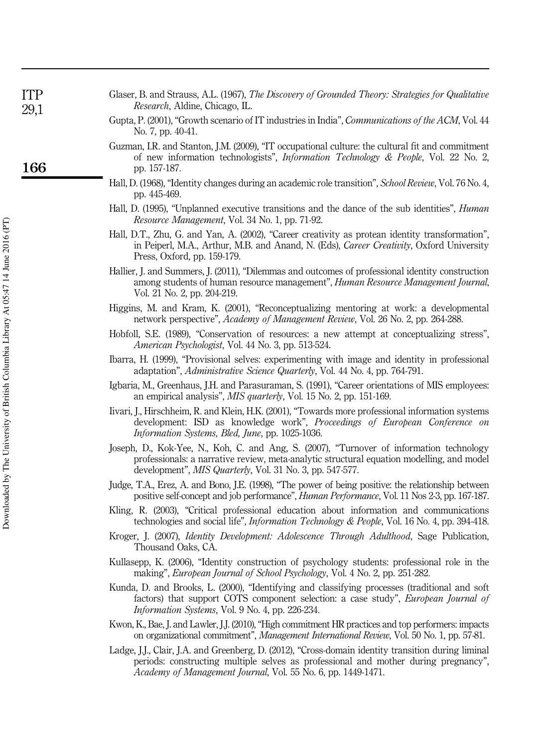| <b>ITP</b><br>29,1 | Glaser, B. and Strauss, A.L. (1967), The Discovery of Grounded Theory: Strategies for Qualitative<br><i>Research</i> , Aldine, Chicago, IL.                                                                                                                |
|--------------------|------------------------------------------------------------------------------------------------------------------------------------------------------------------------------------------------------------------------------------------------------------|
|                    | Gupta, P. (2001), "Growth scenario of IT industries in India", Communications of the ACM, Vol. 44<br>No. 7, pp. 40-41.                                                                                                                                     |
| <b>166</b>         | Guzman, I.R. and Stanton, J.M. (2009), "IT occupational culture: the cultural fit and commitment<br>of new information technologists", <i>Information Technology &amp; People</i> , Vol. 22 No. 2,<br>pp. 157-187.                                         |
|                    | Hall, D. (1968), "Identity changes during an academic role transition", School Review, Vol. 76 No. 4,<br>pp. 445-469.                                                                                                                                      |
|                    | Hall, D. (1995), "Unplanned executive transitions and the dance of the sub identities", Human<br><i>Resource Management, Vol. 34 No. 1, pp. 71-92.</i>                                                                                                     |
|                    | Hall, D.T., Zhu, G. and Yan, A. (2002), "Career creativity as protean identity transformation",<br>in Peiperl, M.A., Arthur, M.B. and Anand, N. (Eds), Career Creativity, Oxford University<br>Press, Oxford, pp. 159-179.                                 |
|                    | Hallier, J. and Summers, J. (2011), "Dilemmas and outcomes of professional identity construction<br>among students of human resource management", Human Resource Management Journal,<br>Vol. 21 No. 2, pp. 204-219.                                        |
|                    | Higgins, M. and Kram, K. (2001), "Reconceptualizing mentoring at work: a developmental<br>network perspective", Academy of Management Review, Vol. 26 No. 2, pp. 264-288.                                                                                  |
|                    | Hobfoll, S.E. (1989), "Conservation of resources: a new attempt at conceptualizing stress",<br>American Psychologist, Vol. 44 No. 3, pp. 513-524.                                                                                                          |
|                    | Ibarra, H. (1999), "Provisional selves: experimenting with image and identity in professional<br>adaptation", Administrative Science Quarterly, Vol. 44 No. 4, pp. 764-791.                                                                                |
|                    | Igbaria, M., Greenhaus, J.H. and Parasuraman, S. (1991), "Career orientations of MIS employees:<br>an empirical analysis", MIS quarterly, Vol. 15 No. 2, pp. 151-169.                                                                                      |
|                    | Iivari, J., Hirschheim, R. and Klein, H.K. (2001), "Towards more professional information systems<br>development: ISD as knowledge work", Proceedings of European Conference on<br><i>Information Systems, Bled, June, pp. 1025-1036.</i>                  |
|                    | Joseph, D., Kok-Yee, N., Koh, C. and Ang, S. (2007), "Turnover of information technology<br>professionals: a narrative review, meta-analytic structural equation modelling, and model<br>development", <i>MIS Quarterly</i> , Vol. 31 No. 3, pp. 547-577.  |
|                    | Judge, T.A., Erez, A. and Bono, J.E. (1998), "The power of being positive: the relationship between<br>positive self-concept and job performance", <i>Human Performance</i> , Vol. 11 Nos 2-3, pp. 167-187.                                                |
|                    | Kling, R. (2003), "Critical professional education about information and communications<br>technologies and social life", <i>Information Technology &amp; People</i> , Vol. 16 No. 4, pp. 394-418.                                                         |
|                    | Kroger, J. (2007), Identity Development: Adolescence Through Adulthood, Sage Publication,<br>Thousand Oaks, CA.                                                                                                                                            |
|                    | Kullasepp, K. (2006), "Identity construction of psychology students: professional role in the<br>making", European Journal of School Psychology, Vol. 4 No. 2, pp. 251-282.                                                                                |
|                    | Kunda, D. and Brooks, L. (2000), "Identifying and classifying processes (traditional and soft<br>factors) that support COTS component selection: a case study", European Journal of<br><i>Information Systems, Vol. 9 No. 4, pp. 226-234.</i>              |
|                    | Kwon, K., Bae, J. and Lawler, J.J. (2010), "High commitment HR practices and top performers: impacts<br>on organizational commitment", <i>Management International Review</i> , Vol. 50 No. 1, pp. 57-81.                                                  |
|                    | Ladge, J.J., Clair, J.A. and Greenberg, D. (2012), "Cross-domain identity transition during liminal<br>periods: constructing multiple selves as professional and mother during pregnancy",<br>Academy of Management Journal, Vol. 55 No. 6, pp. 1449-1471. |
|                    |                                                                                                                                                                                                                                                            |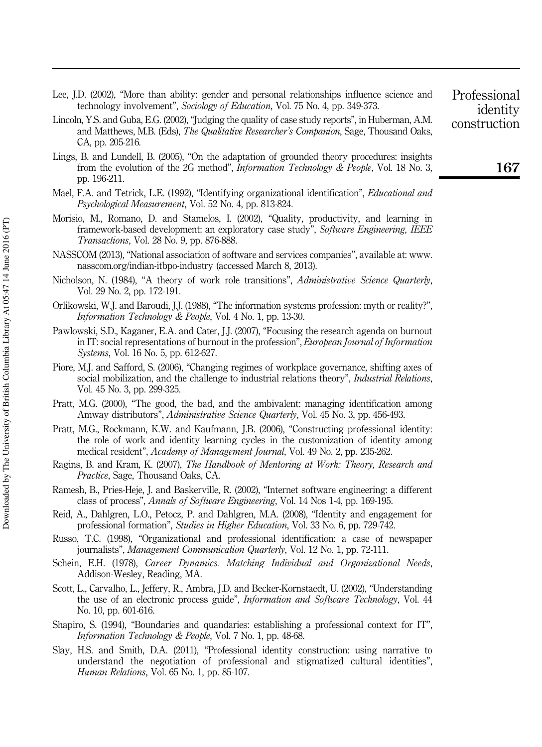- Lee, J.D. (2002), "More than ability: gender and personal relationships influence science and technology involvement", *Sociology of Education*, Vol. 75 No. 4, pp. 349-373. Professional
- Lincoln, Y.S. and Guba, E.G. (2002), "Judging the quality of case study reports", in Huberman, A.M. and Matthews, M.B. (Eds), *The Qualitative Researcher*'*s Companion*, Sage, Thousand Oaks, CA, pp. 205-216.
- Lings, B. and Lundell, B. (2005), "On the adaptation of grounded theory procedures: insights from the evolution of the 2G method", *Information Technology & People*, Vol. 18 No. 3, pp. 196-211.
- Mael, F.A. and Tetrick, L.E. (1992), "Identifying organizational identification", *Educational and Psychological Measurement*, Vol. 52 No. 4, pp. 813-824.
- Morisio, M., Romano, D. and Stamelos, I. (2002), "Quality, productivity, and learning in framework-based development: an exploratory case study", *Software Engineering, IEEE Transactions*, Vol. 28 No. 9, pp. 876-888.
- NASSCOM (2013), "National association of software and services companies", available at: www. nasscom.org/indian-itbpo-industry (accessed March 8, 2013).
- Nicholson, N. (1984), "A theory of work role transitions", *Administrative Science Quarterly*, Vol. 29 No. 2, pp. 172-191.
- Orlikowski, W.J. and Baroudi, J.J. (1988), "The information systems profession: myth or reality?", *Information Technology & People*, Vol. 4 No. 1, pp. 13-30.
- Pawlowski, S.D., Kaganer, E.A. and Cater, J.J. (2007), "Focusing the research agenda on burnout in IT: social representations of burnout in the profession", *European Journal of Information Systems*, Vol. 16 No. 5, pp. 612-627.
- Piore, M.J. and Safford, S. (2006), "Changing regimes of workplace governance, shifting axes of social mobilization, and the challenge to industrial relations theory", *Industrial Relations*, Vol. 45 No. 3, pp. 299-325.
- Pratt, M.G. (2000), "The good, the bad, and the ambivalent: managing identification among Amway distributors", *Administrative Science Quarterly*, Vol. 45 No. 3, pp. 456-493.
- Pratt, M.G., Rockmann, K.W. and Kaufmann, J.B. (2006), "Constructing professional identity: the role of work and identity learning cycles in the customization of identity among medical resident", *Academy of Management Journal*, Vol. 49 No. 2, pp. 235-262.
- Ragins, B. and Kram, K. (2007), *The Handbook of Mentoring at Work: Theory, Research and Practice*, Sage, Thousand Oaks, CA.
- Ramesh, B., Pries-Heje, J. and Baskerville, R. (2002), "Internet software engineering: a different class of process", *Annals of Software Engineering*, Vol. 14 Nos 1-4, pp. 169-195.
- Reid, A., Dahlgren, L.O., Petocz, P. and Dahlgren, M.A. (2008), "Identity and engagement for professional formation", *Studies in Higher Education*, Vol. 33 No. 6, pp. 729-742.
- Russo, T.C. (1998), "Organizational and professional identification: a case of newspaper journalists", *Management Communication Quarterly*, Vol. 12 No. 1, pp. 72-111.
- Schein, E.H. (1978), *Career Dynamics. Matching Individual and Organizational Needs*, Addison-Wesley, Reading, MA.
- Scott, L., Carvalho, L., Jeffery, R., Ambra, J.D. and Becker-Kornstaedt, U. (2002), "Understanding the use of an electronic process guide", *Information and Software Technology*, Vol. 44 No. 10, pp. 601-616.
- Shapiro, S. (1994), "Boundaries and quandaries: establishing a professional context for IT", *Information Technology & People*, Vol. 7 No. 1, pp. 48-68.
- Slay, H.S. and Smith, D.A. (2011), "Professional identity construction: using narrative to understand the negotiation of professional and stigmatized cultural identities", *Human Relations*, Vol. 65 No. 1, pp. 85-107.

167

identity construction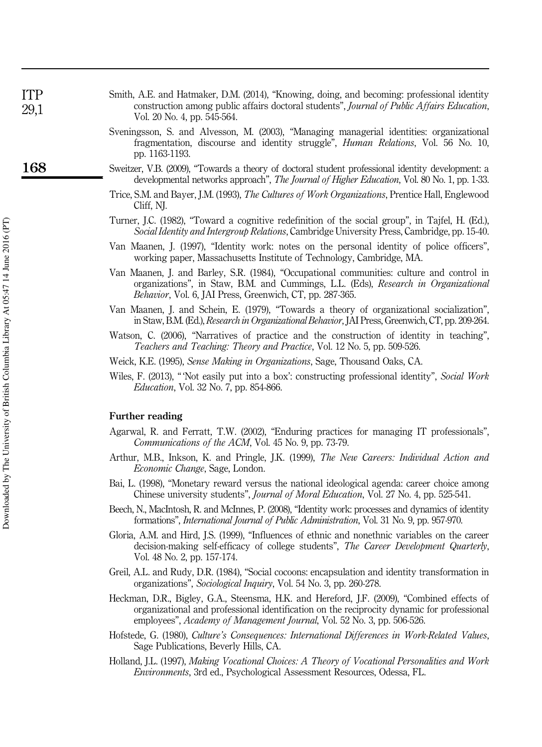|                             | Smith, A.E. and Hatmaker, D.M. (2014), "Knowing, doing, and becoming: professional identity        |
|-----------------------------|----------------------------------------------------------------------------------------------------|
|                             | construction among public affairs doctoral students", <i>Journal of Public Affairs Education</i> , |
| Vol. 20 No. 4, pp. 545-564. |                                                                                                    |

- Sveningsson, S. and Alvesson, M. (2003), "Managing managerial identities: organizational fragmentation, discourse and identity struggle", *Human Relations*, Vol. 56 No. 10, pp. 1163-1193.
- Sweitzer, V.B. (2009), "Towards a theory of doctoral student professional identity development: a developmental networks approach", *The Journal of Higher Education*, Vol. 80 No. 1, pp. 1-33.
	- Trice, S.M. and Bayer, J.M. (1993), *The Cultures of Work Organizations*, Prentice Hall, Englewood Cliff, NJ.
	- Turner, J.C. (1982), "Toward a cognitive redefinition of the social group", in Tajfel, H. (Ed.), *Social Identity and Intergroup Relations*, Cambridge University Press, Cambridge, pp. 15-40.
	- Van Maanen, J. (1997), "Identity work: notes on the personal identity of police officers", working paper, Massachusetts Institute of Technology, Cambridge, MA.
	- Van Maanen, J. and Barley, S.R. (1984), "Occupational communities: culture and control in organizations", in Staw, B.M. and Cummings, L.L. (Eds), *Research in Organizational Behavior*, Vol. 6, JAI Press, Greenwich, CT, pp. 287-365.
	- Van Maanen, J. and Schein, E. (1979), "Towards a theory of organizational socialization", in Staw, B.M. (Ed.), *Research in Organizational Behavior*, JAI Press, Greenwich, CT, pp. 209-264.
	- Watson, C. (2006), "Narratives of practice and the construction of identity in teaching", *Teachers and Teaching: Theory and Practice*, Vol. 12 No. 5, pp. 509-526.
	- Weick, K.E. (1995), *Sense Making in Organizations*, Sage, Thousand Oaks, CA.
	- Wiles, F. (2013), " 'Not easily put into a box': constructing professional identity", *Social Work Education*, Vol. 32 No. 7, pp. 854-866.

#### Further reading

- Agarwal, R. and Ferratt, T.W. (2002), "Enduring practices for managing IT professionals", *Communications of the ACM*, Vol. 45 No. 9, pp. 73-79.
- Arthur, M.B., Inkson, K. and Pringle, J.K. (1999), *The New Careers: Individual Action and Economic Change*, Sage, London.
- Bai, L. (1998), "Monetary reward versus the national ideological agenda: career choice among Chinese university students", *Journal of Moral Education*, Vol. 27 No. 4, pp. 525-541.
- Beech, N., MacIntosh, R. and McInnes, P. (2008), "Identity work: processes and dynamics of identity formations", *International Journal of Public Administration*, Vol. 31 No. 9, pp. 957-970.
- Gloria, A.M. and Hird, J.S. (1999), "Influences of ethnic and nonethnic variables on the career decision-making self-efficacy of college students", *The Career Development Quarterly*, Vol. 48 No. 2, pp. 157-174.
- Greil, A.L. and Rudy, D.R. (1984), "Social cocoons: encapsulation and identity transformation in organizations", *Sociological Inquiry*, Vol. 54 No. 3, pp. 260-278.
- Heckman, D.R., Bigley, G.A., Steensma, H.K. and Hereford, J.F. (2009), "Combined effects of organizational and professional identification on the reciprocity dynamic for professional employees", *Academy of Management Journal*, Vol. 52 No. 3, pp. 506-526.
- Hofstede, G. (1980), *Culture*'*s Consequences: International Differences in Work-Related Values*, Sage Publications, Beverly Hills, CA.
- Holland, J.L. (1997), *Making Vocational Choices: A Theory of Vocational Personalities and Work Environments*, 3rd ed., Psychological Assessment Resources, Odessa, FL.

ITP 29,1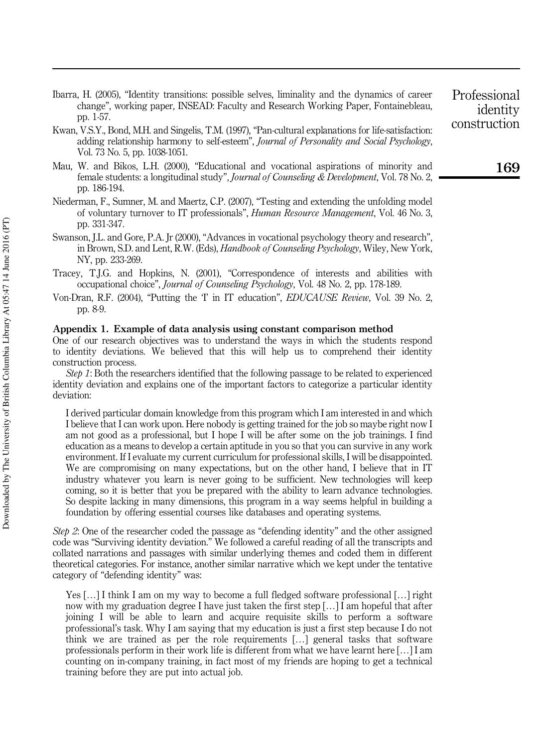- Ibarra, H. (2005), "Identity transitions: possible selves, liminality and the dynamics of career change", working paper, INSEAD: Faculty and Research Working Paper, Fontainebleau, pp. 1-57.
- Kwan, V.S.Y., Bond, M.H. and Singelis, T.M. (1997), "Pan-cultural explanations for life-satisfaction: adding relationship harmony to self-esteem", *Journal of Personality and Social Psychology*, Vol. 73 No. 5, pp. 1038-1051.
- Mau, W. and Bikos, L.H. (2000), "Educational and vocational aspirations of minority and female students: a longitudinal study", *Journal of Counseling & Development*, Vol. 78 No. 2, pp. 186-194.
- Niederman, F., Sumner, M. and Maertz, C.P. (2007), "Testing and extending the unfolding model of voluntary turnover to IT professionals", *Human Resource Management*, Vol. 46 No. 3, pp. 331-347.
- Swanson, J.L. and Gore, P.A. Jr (2000), "Advances in vocational psychology theory and research", in Brown, S.D. and Lent, R.W. (Eds), *Handbook of Counseling Psychology*, Wiley, New York, NY, pp. 233-269.
- Tracey, T.J.G. and Hopkins, N. (2001), "Correspondence of interests and abilities with occupational choice", *Journal of Counseling Psychology*, Vol. 48 No. 2, pp. 178-189.
- Von-Dran, R.F. (2004), "Putting the 'I' in IT education", *EDUCAUSE Review*, Vol. 39 No. 2, pp. 8-9.

#### Appendix 1. Example of data analysis using constant comparison method

One of our research objectives was to understand the ways in which the students respond to identity deviations. We believed that this will help us to comprehend their identity construction process.

*Step 1*: Both the researchers identified that the following passage to be related to experienced identity deviation and explains one of the important factors to categorize a particular identity deviation:

I derived particular domain knowledge from this program which I am interested in and which I believe that I can work upon. Here nobody is getting trained for the job so maybe right now I am not good as a professional, but I hope I will be after some on the job trainings. I find education as a means to develop a certain aptitude in you so that you can survive in any work environment. If I evaluate my current curriculum for professional skills, I will be disappointed. We are compromising on many expectations, but on the other hand, I believe that in IT industry whatever you learn is never going to be sufficient. New technologies will keep coming, so it is better that you be prepared with the ability to learn advance technologies. So despite lacking in many dimensions, this program in a way seems helpful in building a foundation by offering essential courses like databases and operating systems.

*Step 2*: One of the researcher coded the passage as "defending identity" and the other assigned code was "Surviving identity deviation." We followed a careful reading of all the transcripts and collated narrations and passages with similar underlying themes and coded them in different theoretical categories. For instance, another similar narrative which we kept under the tentative category of "defending identity" was:

Yes […] I think I am on my way to become a full fledged software professional […] right now with my graduation degree I have just taken the first step […] I am hopeful that after joining I will be able to learn and acquire requisite skills to perform a software professional's task. Why I am saying that my education is just a first step because I do not think we are trained as per the role requirements […] general tasks that software professionals perform in their work life is different from what we have learnt here […] I am counting on in-company training, in fact most of my friends are hoping to get a technical training before they are put into actual job.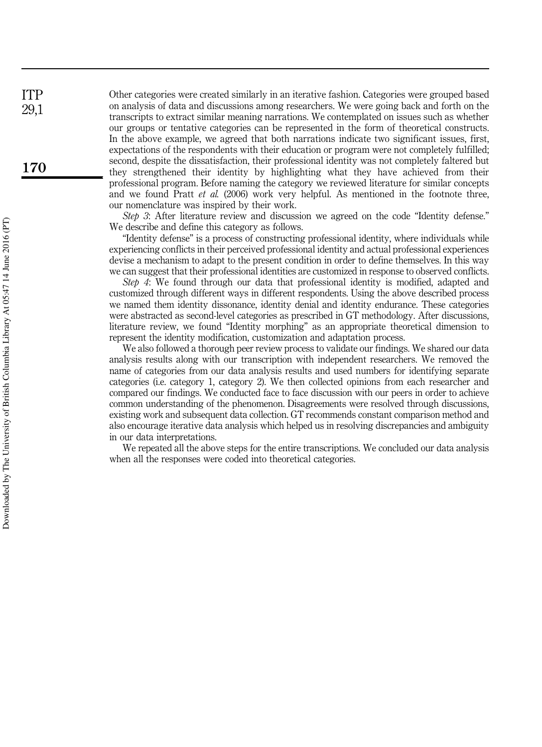Other categories were created similarly in an iterative fashion. Categories were grouped based on analysis of data and discussions among researchers. We were going back and forth on the transcripts to extract similar meaning narrations. We contemplated on issues such as whether our groups or tentative categories can be represented in the form of theoretical constructs. In the above example, we agreed that both narrations indicate two significant issues, first, expectations of the respondents with their education or program were not completely fulfilled; second, despite the dissatisfaction, their professional identity was not completely faltered but they strengthened their identity by highlighting what they have achieved from their professional program. Before naming the category we reviewed literature for similar concepts and we found Pratt *et al.* (2006) work very helpful. As mentioned in the footnote three, our nomenclature was inspired by their work.

*Step 3*: After literature review and discussion we agreed on the code "Identity defense." We describe and define this category as follows.

"Identity defense" is a process of constructing professional identity, where individuals while experiencing conflicts in their perceived professional identity and actual professional experiences devise a mechanism to adapt to the present condition in order to define themselves. In this way we can suggest that their professional identities are customized in response to observed conflicts.

*Step 4*: We found through our data that professional identity is modified, adapted and customized through different ways in different respondents. Using the above described process we named them identity dissonance, identity denial and identity endurance. These categories were abstracted as second-level categories as prescribed in GT methodology. After discussions, literature review, we found "Identity morphing" as an appropriate theoretical dimension to represent the identity modification, customization and adaptation process.

We also followed a thorough peer review process to validate our findings. We shared our data analysis results along with our transcription with independent researchers. We removed the name of categories from our data analysis results and used numbers for identifying separate categories (i.e. category 1, category 2). We then collected opinions from each researcher and compared our findings. We conducted face to face discussion with our peers in order to achieve common understanding of the phenomenon. Disagreements were resolved through discussions, existing work and subsequent data collection. GT recommends constant comparison method and also encourage iterative data analysis which helped us in resolving discrepancies and ambiguity in our data interpretations.

We repeated all the above steps for the entire transcriptions. We concluded our data analysis when all the responses were coded into theoretical categories.

170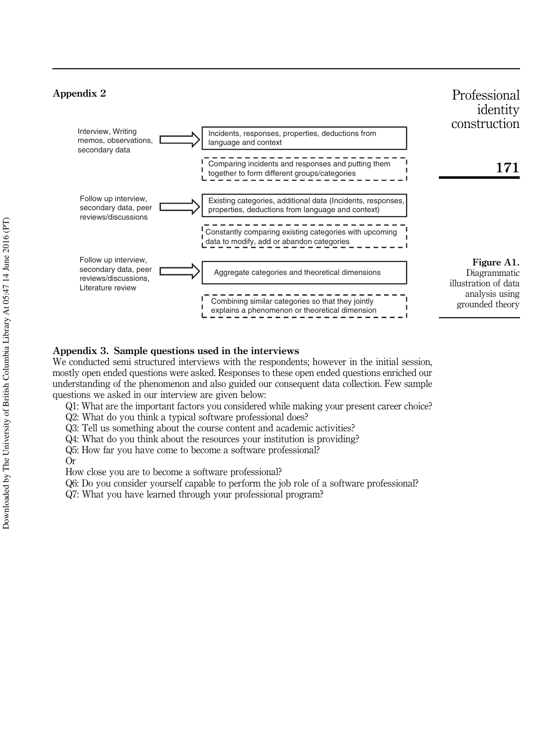



Professional

### Appendix 3. Sample questions used in the interviews

We conducted semi structured interviews with the respondents; however in the initial session. mostly open ended questions were asked. Responses to these open ended questions enriched our understanding of the phenomenon and also guided our consequent data collection. Few sample questions we asked in our interview are given below:

Q1: What are the important factors you considered while making your present career choice? Q2: What do you think a typical software professional does?

Q3: Tell us something about the course content and academic activities?

Q4: What do you think about the resources your institution is providing?

Q5: How far you have come to become a software professional?

Or

How close you are to become a software professional?

Q6: Do you consider yourself capable to perform the job role of a software professional?

Q7: What you have learned through your professional program?